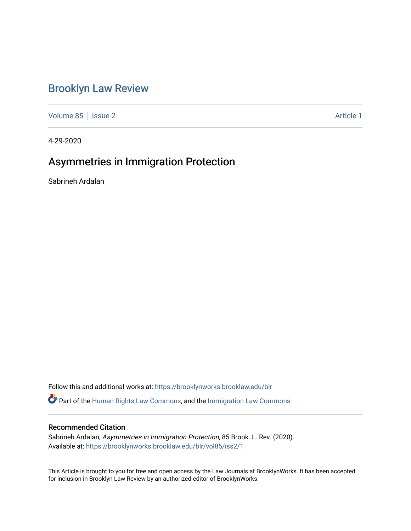# [Brooklyn Law Review](https://brooklynworks.brooklaw.edu/blr)

[Volume 85](https://brooklynworks.brooklaw.edu/blr/vol85) | [Issue 2](https://brooklynworks.brooklaw.edu/blr/vol85/iss2) Article 1

4-29-2020

# Asymmetries in Immigration Protection

Sabrineh Ardalan

Follow this and additional works at: [https://brooklynworks.brooklaw.edu/blr](https://brooklynworks.brooklaw.edu/blr?utm_source=brooklynworks.brooklaw.edu%2Fblr%2Fvol85%2Fiss2%2F1&utm_medium=PDF&utm_campaign=PDFCoverPages)  **C** Part of the [Human Rights Law Commons,](http://network.bepress.com/hgg/discipline/847?utm_source=brooklynworks.brooklaw.edu%2Fblr%2Fvol85%2Fiss2%2F1&utm_medium=PDF&utm_campaign=PDFCoverPages) and the Immigration Law Commons

# Recommended Citation

Sabrineh Ardalan, Asymmetries in Immigration Protection, 85 Brook. L. Rev. (2020). Available at: [https://brooklynworks.brooklaw.edu/blr/vol85/iss2/1](https://brooklynworks.brooklaw.edu/blr/vol85/iss2/1?utm_source=brooklynworks.brooklaw.edu%2Fblr%2Fvol85%2Fiss2%2F1&utm_medium=PDF&utm_campaign=PDFCoverPages)

This Article is brought to you for free and open access by the Law Journals at BrooklynWorks. It has been accepted for inclusion in Brooklyn Law Review by an authorized editor of BrooklynWorks.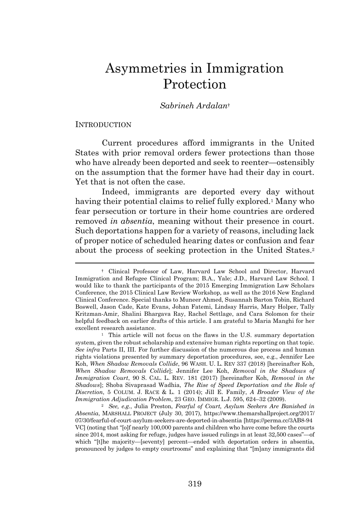# Asymmetries in Immigration Protection

### *Sabrineh Ardalan*†

#### INTRODUCTION

Current procedures afford immigrants in the United States with prior removal orders fewer protections than those who have already been deported and seek to reenter—ostensibly on the assumption that the former have had their day in court. Yet that is not often the case.

Indeed, immigrants are deported every day without having their potential claims to relief fully explored.<sup>1</sup> Many who fear persecution or torture in their home countries are ordered removed *in absentia*, meaning without their presence in court. Such deportations happen for a variety of reasons, including lack of proper notice of scheduled hearing dates or confusion and fear about the process of seeking protection in the United States.<sup>2</sup>

<sup>†</sup> Clinical Professor of Law, Harvard Law School and Director, Harvard Immigration and Refugee Clinical Program; B.A., Yale; J.D., Harvard Law School. I would like to thank the participants of the 2015 Emerging Immigration Law Scholars Conference, the 2015 Clinical Law Review Workshop, as well as the 2016 New England Clinical Conference. Special thanks to Muneer Ahmed, Susannah Barton Tobin, Richard Boswell, Jason Cade, Kate Evans, Johan Fatemi, Lindsay Harris, Mary Holper, Tally Kritzman-Amir, Shalini Bhargava Ray, Rachel Settlage, and Cara Solomon for their helpful feedback on earlier drafts of this article. I am grateful to Maria Manghi for her excellent research assistance.

<sup>&</sup>lt;sup>1</sup> This article will not focus on the flaws in the U.S. summary deportation system, given the robust scholarship and extensive human rights reporting on that topic. *See infra* Parts II, III. For further discussion of the numerous due process and human rights violations presented by summary deportation procedures, see, e.g., Jennifer Lee Koh, *When Shadow Removals Collide*, 96 WASH. U. L. REV 337 (2018) [hereinafter Koh, *When Shadow Removals Collide*]; Jennifer Lee Koh, *Removal in the Shadows of Immigration Court*, 90 S. CAL. L. REV. 181 (2017) [hereinafter Koh, *Removal in the Shadows*]; Shoba Sivaprasad Wadhia, *The Rise of Speed Deportation and the Role of Discretion*, 5 COLUM. J. RACE & L. 1 (2014); Jill E. Family, *A Broader View of the Immigration Adjudication Problem*, 23 GEO. IMMIGR. L.J. 595, 624–32 (2009).

<sup>2</sup> *See, e.g.*, Julia Preston, *Fearful of Court, Asylum Seekers Are Banished in Absentia*, MARSHALL PROJECT (July 30, 2017), https://www.themarshallproject.org/2017/ 07/30/fearful-of-court-asylum-seekers-are-deported-in-absentia [https://perma.cc/3AB8-94 VC] (noting that "[o]f nearly 100,000 parents and children who have come before the courts since 2014, most asking for refuge, judges have issued rulings in at least 32,500 cases"—of which "[t]he majority—[seventy] percent—ended with deportation orders in absentia, pronounced by judges to empty courtrooms" and explaining that "[m]any immigrants did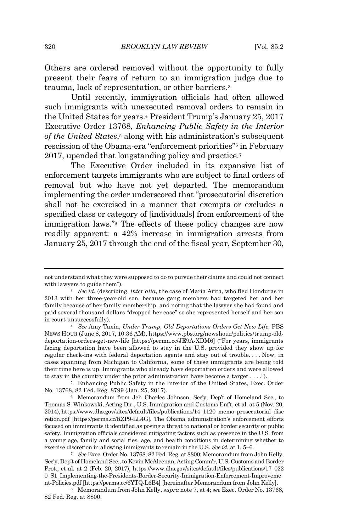Others are ordered removed without the opportunity to fully present their fears of return to an immigration judge due to trauma, lack of representation, or other barriers.<sup>3</sup>

Until recently, immigration officials had often allowed such immigrants with unexecuted removal orders to remain in the United States for years.<sup>4</sup> President Trump's January 25, 2017 Executive Order 13768, *Enhancing Public Safety in the Interior of the United States*, <sup>5</sup> along with his administration's subsequent rescission of the Obama-era "enforcement priorities"<sup>6</sup> in February 2017, upended that longstanding policy and practice.<sup>7</sup>

The Executive Order included in its expansive list of enforcement targets immigrants who are subject to final orders of removal but who have not yet departed. The memorandum implementing the order underscored that "prosecutorial discretion shall not be exercised in a manner that exempts or excludes a specified class or category of [individuals] from enforcement of the immigration laws."<sup>8</sup> The effects of these policy changes are now readily apparent: a 42% increase in immigration arrests from January 25, 2017 through the end of the fiscal year, September 30,

<sup>8</sup> Memorandum from John Kelly, *supra* note 7, at 4; *see* Exec. Order No. 13768, 82 Fed. Reg. at 8800.

not understand what they were supposed to do to pursue their claims and could not connect with lawyers to guide them").

<sup>3</sup> *See id.* (describing, *inter alia*, the case of Maria Arita, who fled Honduras in 2013 with her three-year-old son, because gang members had targeted her and her family because of her family membership, and noting that the lawyer she had found and paid several thousand dollars "dropped her case" so she represented herself and her son in court unsuccessfully).

<sup>4</sup> *See* Amy Taxin, *Under Trump, Old Deportations Orders Get New Life*, PBS NEWS HOUR (June 8, 2017, 10:36 AM), https://www.pbs.org/newshour/politics/trump-olddeportation-orders-get-new-life [https://perma.cc/JE9A-XDM6] ("For years, immigrants facing deportation have been allowed to stay in the U.S. provided they show up for regular check-ins with federal deportation agents and stay out of trouble. . . . Now, in cases spanning from Michigan to California, some of these immigrants are being told their time here is up. Immigrants who already have deportation orders and were allowed to stay in the country under the prior administration have become a target . . . .").

<sup>5</sup> Enhancing Public Safety in the Interior of the United States, Exec. Order No. 13768, 82 Fed. Reg. 8799 (Jan. 25, 2017).

<sup>6</sup> Memorandum from Jeh Charles Johnson, Sec'y, Dep't of Homeland Sec., to Thomas S. Winkowski, Acting Dir., U.S. Immigration and Customs Enf't, et al. at 5 (Nov. 20, 2014), https://www.dhs.gov/sites/default/files/publications/14\_1120\_memo\_prosecutorial\_disc retion.pdf [https://perma.cc/RZP9-LL4G]. The Obama administration's enforcement efforts focused on immigrants it identified as posing a threat to national or border security or public safety. Immigration officials considered mitigating factors such as presence in the U.S. from a young age, family and social ties, age, and health conditions in determining whether to exercise discretion in allowing immigrants to remain in the U.S. *See id.* at 1, 5–6.

<sup>7</sup> *See* Exec. Order No. 13768, 82 Fed. Reg. at 8800; Memorandum from John Kelly, Sec'y, Dep't of Homeland Sec., to Kevin McAleenan, Acting Comm'r, U.S. Customs and Border Prot., et al. at 2 (Feb. 20, 2017), https://www.dhs.gov/sites/default/files/publications/17\_022 0\_S1\_Implementing-the-Presidents-Border-Security-Immigration-Enforcement-Improveme nt-Policies.pdf [https://perma.cc/6YTQ-L6B4] [hereinafter Memorandum from John Kelly].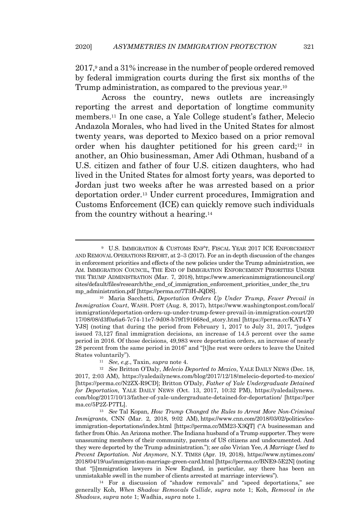2017,<sup>9</sup> and a 31% increase in the number of people ordered removed by federal immigration courts during the first six months of the Trump administration, as compared to the previous year.<sup>10</sup>

Across the country, news outlets are increasingly reporting the arrest and deportation of longtime community members.<sup>11</sup> In one case, a Yale College student's father, Melecio Andazola Morales, who had lived in the United States for almost twenty years, was deported to Mexico based on a prior removal order when his daughter petitioned for his green card;<sup>12</sup> in another, an Ohio businessman, Amer Adi Othman, husband of a U.S. citizen and father of four U.S. citizen daughters, who had lived in the United States for almost forty years, was deported to Jordan just two weeks after he was arrested based on a prior deportation order.<sup>13</sup> Under current procedures, Immigration and Customs Enforcement (ICE) can quickly remove such individuals from the country without a hearing.<sup>14</sup>

<sup>14</sup> For a discussion of "shadow removals" and "speed deportations," see generally Koh, *When Shadow Removals Collide*, *supra* note 1; Koh, *Removal in the Shadows*, *supra* note 1; Wadhia, *supra* note 1.

<sup>9</sup> U.S. IMMIGRATION & CUSTOMS ENF'T, FISCAL YEAR 2017 ICE ENFORCEMENT AND REMOVAL OPERATIONS REPORT, at 2–3 (2017). For an in-depth discussion of the changes in enforcement priorities and effects of the new policies under the Trump administration, see AM. IMMIGRATION COUNCIL, THE END OF IMMIGRATION ENFORCEMENT PRIORITIES UNDER THE TRUMP ADMINISTRATION (Mar. 7, 2018), https://www.americanimmigrationcouncil.org/ sites/default/files/research/the\_end\_of\_immigration\_enforcement\_priorities\_under\_the\_tru mp\_administration.pdf [https://perma.cc/7T3H-JQDS].

<sup>10</sup> Maria Sacchetti, *Deportation Orders Up Under Trump, Fewer Prevail in Immigration Court*, WASH. POST (Aug. 8, 2017), https://www.washingtonpost.com/local/ immigration/deportation-orders-up-under-trump-fewer-prevail-in-immigration-court/20 17/08/08/d3f0a6a6-7c74-11e7-9d08-b79f191668ed\_story.html [https://perma.cc/KAT4-Y YJS] (noting that during the period from February 1, 2017 to July 31, 2017, "judges issued 73,127 final immigration decisions, an increase of 14.5 percent over the same period in 2016. Of those decisions, 49,983 were deportation orders, an increase of nearly 28 percent from the same period in 2016" and "[t]he rest were orders to leave the United States voluntarily").

<sup>11</sup> *See, e.g.*, Taxin, *supra* note 4.

<sup>12</sup> *See* Britton O'Daly, *Melecio Deported to Mexico*, YALE DAILY NEWS (Dec. 18, 2017, 2:03 AM), https://yaledailynews.com/blog/2017/12/18/melecio-deported-to-mexico/ [https://perma.cc/N2ZX-R9CD]; Britton O'Daly, *Father of Yale Undergraduate Detained for Deportation*, YALE DAILY NEWS (Oct. 13, 2017, 10:32 PM), https://yaledailynews. com/blog/2017/10/13/father-of-yale-undergraduate-detained-for-deportation/ [https://per ma.cc/5P2Z-P7TL].

<sup>13</sup> *See* Tal Kopan, *How Trump Changed the Rules to Arrest More Non-Criminal Immigrants*, CNN (Mar. 2, 2018, 9:02 AM), https://www.cnn.com/2018/03/02/politics/iceimmigration-deportations/index.html [https://perma.cc/MM23-X3QT] ("A businessman and father from Ohio. An Arizona mother. The Indiana husband of a Trump supporter. They were unassuming members of their community, parents of US citizens and undocumented. And they were deported by the Trump administration."); *see also* Vivian Yee, *A Marriage Used to Prevent Deportation. Not Anymore*, N.Y. TIMES (Apr. 19, 2018), https://www.nytimes.com/ 2018/04/19/us/immigration-marriage-green-card.html [https://perma.cc/BNE9-5E2N] (noting that "[i]mmigration lawyers in New England, in particular, say there has been an unmistakable swell in the number of clients arrested at marriage interviews").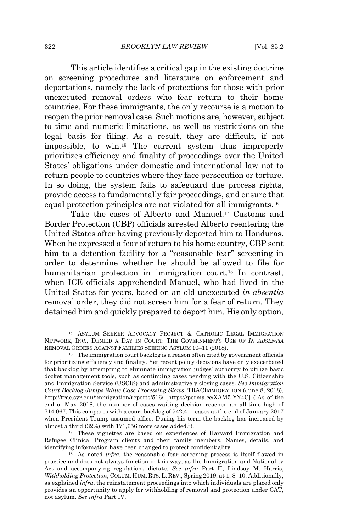This article identifies a critical gap in the existing doctrine on screening procedures and literature on enforcement and deportations, namely the lack of protections for those with prior unexecuted removal orders who fear return to their home countries. For these immigrants, the only recourse is a motion to reopen the prior removal case. Such motions are, however, subject to time and numeric limitations, as well as restrictions on the legal basis for filing. As a result, they are difficult, if not impossible, to win.<sup>15</sup> The current system thus improperly prioritizes efficiency and finality of proceedings over the United States' obligations under domestic and international law not to return people to countries where they face persecution or torture. In so doing, the system fails to safeguard due process rights, provide access to fundamentally fair proceedings, and ensure that equal protection principles are not violated for all immigrants.<sup>16</sup>

Take the cases of Alberto and Manuel.<sup>17</sup> Customs and Border Protection (CBP) officials arrested Alberto reentering the United States after having previously deported him to Honduras. When he expressed a fear of return to his home country, CBP sent him to a detention facility for a "reasonable fear" screening in order to determine whether he should be allowed to file for humanitarian protection in immigration court.<sup>18</sup> In contrast, when ICE officials apprehended Manuel, who had lived in the United States for years, based on an old unexecuted *in absentia* removal order, they did not screen him for a fear of return. They detained him and quickly prepared to deport him. His only option,

<sup>15</sup> ASYLUM SEEKER ADVOCACY PROJECT & CATHOLIC LEGAL IMMIGRATION NETWORK, INC., DENIED A DAY IN COURT: THE GOVERNMENT'S USE OF *IN ABSENTIA* REMOVAL ORDERS AGAINST FAMILIES SEEKING ASYLUM 10–11 (2018).

<sup>&</sup>lt;sup>16</sup> The immigration court backlog is a reason often cited by government officials for prioritizing efficiency and finality. Yet recent policy decisions have only exacerbated that backlog by attempting to eliminate immigration judges' authority to utilize basic docket management tools, such as continuing cases pending with the U.S. Citizenship and Immigration Service (USCIS) and administratively closing cases. *See Immigration Court Backlog Jumps While Case Processing Slows*, TRACIMMIGRATION (June 8, 2018), http://trac.syr.edu/immigration/reports/516/ [https://perma.cc/XAM5-YY4C] ("As of the end of May 2018, the number of cases waiting decision reached an all-time high of 714,067. This compares with a court backlog of 542,411 cases at the end of January 2017 when President Trump assumed office. During his term the backlog has increased by almost a third (32%) with 171,656 more cases added.").

<sup>&</sup>lt;sup>17</sup> These vignettes are based on experiences of Harvard Immigration and Refugee Clinical Program clients and their family members. Names, details, and identifying information have been changed to protect confidentiality.

<sup>18</sup> As noted *infra*, the reasonable fear screening process is itself flawed in practice and does not always function in this way, as the Immigration and Nationality Act and accompanying regulations dictate. *See infra* Part II; Lindsay M. Harris, *Withholding Protection*, COLUM. HUM. RTS. L. REV., Spring 2019, at 1, 8–10. Additionally, as explained *infra*, the reinstatement proceedings into which individuals are placed only provides an opportunity to apply for withholding of removal and protection under CAT, not asylum. *See infra* Part IV.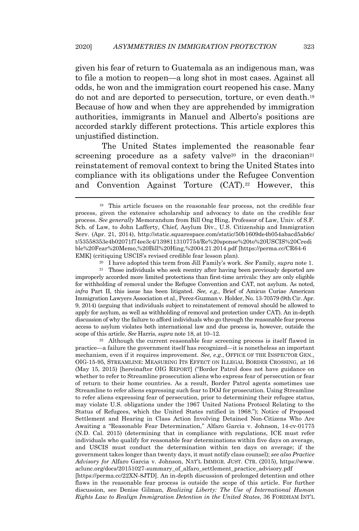given his fear of return to Guatemala as an indigenous man, was to file a motion to reopen—a long shot in most cases. Against all odds, he won and the immigration court reopened his case. Many do not and are deported to persecution, torture, or even death.<sup>19</sup> Because of how and when they are apprehended by immigration authorities, immigrants in Manuel and Alberto's positions are accorded starkly different protections. This article explores this unjustified distinction.

The United States implemented the reasonable fear screening procedure as a safety valve<sup>20</sup> in the draconian<sup>21</sup> reinstatement of removal context to bring the United States into compliance with its obligations under the Refugee Convention and Convention Against Torture (CAT).<sup>22</sup> However, this

 $^\mathrm{21}$  Those individuals who seek reentry after having been previously deported are improperly accorded more limited protections than first-time arrivals: they are only eligible for withholding of removal under the Refugee Convention and CAT, not asylum. As noted, *infra* Part II, this issue has been litigated. *See, e.g.*, Brief of Amicus Curiae American Immigration Lawyers Association et al., Perez-Guzman v. Holder, No. 13-70579 (9th Cir. Apr. 9, 2014) (arguing that individuals subject to reinstatement of removal should be allowed to apply for asylum, as well as withholding of removal and protection under CAT). An in-depth discussion of why the failure to afford individuals who go through the reasonable fear process access to asylum violates both international law and due process is, however, outside the scope of this article. *See* Harris, *supra* note 18, at 10–12.

<sup>22</sup> Although the current reasonable fear screening process is itself flawed in practice—a failure the government itself has recognized—it is nonetheless an important mechanism, even if it requires improvement. *See, e.g.*, OFFICE OF THE INSPECTOR GEN., OIG-15-95, STREAMLINE: MEASURING ITS EFFECT ON ILLEGAL BORDER CROSSING, at 16 (May 15, 2015) [hereinafter OIG REPORT] ("Border Patrol does not have guidance on whether to refer to Streamline prosecution aliens who express fear of persecution or fear of return to their home countries. As a result, Border Patrol agents sometimes use Streamline to refer aliens expressing such fear to DOJ for prosecution. Using Streamline to refer aliens expressing fear of persecution, prior to determining their refugee status, may violate U.S. obligations under the 1967 United Nations Protocol Relating to the Status of Refugees, which the United States ratified in 1968."); Notice of Proposed Settlement and Hearing in Class Action Involving Detained Non-Citizens Who Are Awaiting a "Reasonable Fear Determination," Alfaro Garcia v. Johnson, 14-cv-01775 (N.D. Cal. 2015) (determining that in compliance with regulations, ICE must refer individuals who qualify for reasonable fear determinations within five days on average, and USCIS must conduct the determination within ten days on average; if the government takes longer than twenty days, it must notify class counsel); *see also Practice Advisory for* Alfaro Garcia v. Johnson, NAT'L IMMIGR. JUST. CTR. (2015), https://www. aclunc.org/docs/20151027-summary\_of\_alfaro\_settlement\_practice\_advisory.pdf [https://perma.cc/22XN-8JTD]. An in-depth discussion of prolonged detention and other flaws in the reasonable fear process is outside the scope of this article. For further discussion, see Denise Gilman, *Realizing Liberty: The Use of International Human*

*Rights Law to Realign Immigration Detention in the United States*, 36 FORDHAM INT'L

<sup>19</sup> This article focuses on the reasonable fear process, not the credible fear process, given the extensive scholarship and advocacy to date on the credible fear process. *See generally* Memorandum from Bill Ong Hing, Professor of Law, Univ. of S.F. Sch. of Law, to John Lafferty, Chief, Asylum Div., U.S. Citizenship and Immigration Serv. (Apr. 21, 2014), http://static.squarespace.com/static/50b1609de4b054abacd5ab6c/ t/53558353e4b02071f74ee3c4/1398113107754/Re%20sponse%20to%20USCIS%20Credi ble%20Fear%20Memo,%20Bill%20Hing,%2004.21.2014.pdf [https://perma.cc/CR64-6 EMK] (critiquing USCIS's revised credible fear lesson plan).

<sup>20</sup> I have adopted this term from Jill Family's work. *See* Family, *supra* note 1.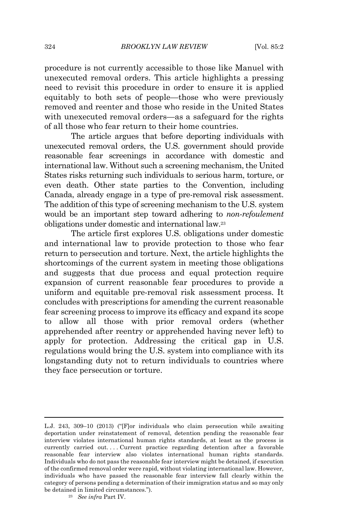procedure is not currently accessible to those like Manuel with unexecuted removal orders. This article highlights a pressing need to revisit this procedure in order to ensure it is applied equitably to both sets of people—those who were previously removed and reenter and those who reside in the United States with unexecuted removal orders—as a safeguard for the rights of all those who fear return to their home countries.

The article argues that before deporting individuals with unexecuted removal orders, the U.S. government should provide reasonable fear screenings in accordance with domestic and international law. Without such a screening mechanism, the United States risks returning such individuals to serious harm, torture, or even death. Other state parties to the Convention, including Canada, already engage in a type of pre-removal risk assessment. The addition of this type of screening mechanism to the U.S. system would be an important step toward adhering to *non-refoulement* obligations under domestic and international law.<sup>23</sup>

The article first explores U.S. obligations under domestic and international law to provide protection to those who fear return to persecution and torture. Next, the article highlights the shortcomings of the current system in meeting those obligations and suggests that due process and equal protection require expansion of current reasonable fear procedures to provide a uniform and equitable pre-removal risk assessment process. It concludes with prescriptions for amending the current reasonable fear screening process to improve its efficacy and expand its scope to allow all those with prior removal orders (whether apprehended after reentry or apprehended having never left) to apply for protection. Addressing the critical gap in U.S. regulations would bring the U.S. system into compliance with its longstanding duty not to return individuals to countries where they face persecution or torture.

L.J. 243, 309–10 (2013) ("[F]or individuals who claim persecution while awaiting deportation under reinstatement of removal, detention pending the reasonable fear interview violates international human rights standards, at least as the process is currently carried out. . . . Current practice regarding detention after a favorable reasonable fear interview also violates international human rights standards. Individuals who do not pass the reasonable fear interview might be detained, if execution of the confirmed removal order were rapid, without violating international law. However, individuals who have passed the reasonable fear interview fall clearly within the category of persons pending a determination of their immigration status and so may only be detained in limited circumstances.").

<sup>23</sup> *See infra* Part IV.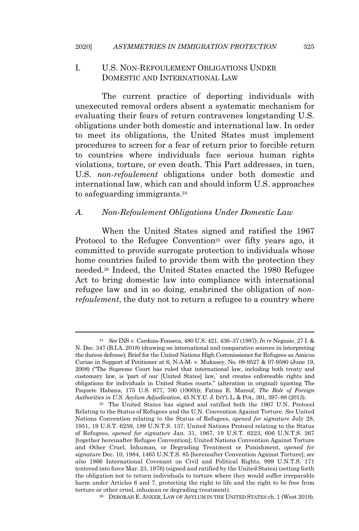## I. U.S. NON-REFOULEMENT OBLIGATIONS UNDER DOMESTIC AND INTERNATIONAL LAW

The current practice of deporting individuals with unexecuted removal orders absent a systematic mechanism for evaluating their fears of return contravenes longstanding U.S. obligations under both domestic and international law. In order to meet its obligations, the United States must implement procedures to screen for a fear of return prior to forcible return to countries where individuals face serious human rights violations, torture, or even death. This Part addresses, in turn, U.S. *non-refoulement* obligations under both domestic and international law, which can and should inform U.S. approaches to safeguarding immigrants.<sup>24</sup>

### *A. Non-Refoulement Obligations Under Domestic Law*

When the United States signed and ratified the 1967 Protocol to the Refugee Convention<sup>25</sup> over fifty years ago, it committed to provide surrogate protection to individuals whose home countries failed to provide them with the protection they needed.<sup>26</sup> Indeed, the United States enacted the 1980 Refugee Act to bring domestic law into compliance with international refugee law and in so doing, enshrined the obligation of *nonrefoulement*, the duty not to return a refugee to a country where

<sup>24</sup> *See* INS v. Cardoza-Fonseca, 480 U.S. 421, 436–37 (1987); *In re* Negusie, 27 I. & N. Dec. 347 (B.I.A. 2018) (drawing on international and comparative sources in interpreting the duress defense); Brief for the United Nations High Commissioner for Refugees as Amicus Curiae in Support of Petitioner at 6, N-A-M- v. Mukasey, No. 08-9527 & 07-9580 (June 19, 2008) ("The Supreme Court has ruled that international law, including both treaty and customary law, is 'part of our [United States] law,' and creates enforceable rights and obligations for individuals in United States courts." (alteration in original) (quoting The Paquete Habana, 175 U.S. 677, 700 (1900))); Fatma E. Marouf, *The Role of Foreign Authorities in U.S. Asylum Adjudication*, 45 N.Y.U. J. INT'L L. & POL. 391, 397–98 (2013).

<sup>25</sup> The United States has signed and ratified both the 1967 U.N. Protocol Relating to the Status of Refugees and the U.N. Convention Against Torture. *See* United Nations Convention relating to the Status of Refugees, *opened for signature* July 28, 1951, 19 U.S.T. 6259, 189 U.N.T.S. 137; United Nations Protocol relating to the Status of Refugees, *opened for signature* Jan. 31, 1967, 19 U.S.T. 6223, 606 U.N.T.S. 267 [together hereinafter Refugee Convention]; United Nations Convention Against Torture and Other Cruel, Inhuman, or Degrading Treatment or Punishment, *opened for signature* Dec. 10, 1984, 1465 U.N.T.S. 85 [hereinafter Convention Against Torture]; *see also* 1966 International Covenant on Civil and Political Rights, 999 U.N.T.S. 171 (entered into force Mar. 23, 1976) (signed and ratified by the United States) (setting forth the obligation not to return individuals to torture where they would suffer irreparable harm under Articles 6 and 7, protecting the right to life and the right to be free from torture or other cruel, inhuman or degrading treatment).

<sup>26</sup> DEBORAH E. ANKER, LAW OF ASYLUM IN THE UNITED STATES ch. 1 (West 2019).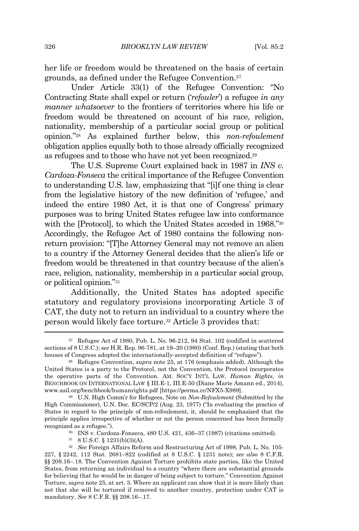her life or freedom would be threatened on the basis of certain grounds, as defined under the Refugee Convention.<sup>27</sup>

Under Article 33(1) of the Refugee Convention: "No Contracting State shall expel or return ('*refouler*') a refugee *in any manner whatsoever* to the frontiers of territories where his life or freedom would be threatened on account of his race, religion, nationality, membership of a particular social group or political opinion." <sup>28</sup> As explained further below, this *non-refoulement* obligation applies equally both to those already officially recognized as refugees and to those who have not yet been recognized.<sup>29</sup>

The U.S. Supreme Court explained back in 1987 in *INS v. Cardoza-Fonseca* the critical importance of the Refugee Convention to understanding U.S. law, emphasizing that "[i]f one thing is clear from the legislative history of the new definition of 'refugee,' and indeed the entire 1980 Act, it is that one of Congress' primary purposes was to bring United States refugee law into conformance with the [Protocol], to which the United States acceded in 1968."<sup>30</sup> Accordingly, the Refugee Act of 1980 contains the following nonreturn provision: "[T]he Attorney General may not remove an alien to a country if the Attorney General decides that the alien's life or freedom would be threatened in that country because of the alien's race, religion, nationality, membership in a particular social group, or political opinion."<sup>31</sup>

Additionally, the United States has adopted specific statutory and regulatory provisions incorporating Article 3 of CAT, the duty not to return an individual to a country where the person would likely face torture.<sup>32</sup> Article 3 provides that:

<sup>31</sup> 8 U.S.C. § 1231(b)(3)(A).

 $27$  Refugee Act of 1980, Pub. L. No. 96-212, 94 Stat. 102 (codified in scattered sections of 8 U.S.C.); *see* H.R. Rep. 96-781, at 19–20 (1980) (Conf. Rep.) (stating that both houses of Congress adopted the internationally-accepted definition of "refugee").

<sup>28</sup> Refugee Convention, *supra* note 25, at 176 (emphasis added). Although the United States is a party to the Protocol, not the Convention, the Protocol incorporates the operative parts of the Convention. AM. SOC'Y INT'L LAW, *Human Rights*, *in* BENCHBOOK ON INTERNATIONAL LAW § III.E-1, III.E-50 (Diane Marie Amann ed., 2014), www.asil.org/benchbook/humanrights.pdf [https://perma.cc/NFX5-X989].

<sup>29</sup> U.N. High Comm'r for Refugees, Note on *Non-Refoulement* (Submitted by the High Commissioner), U.N. Doc. EC/SCP/2 (Aug. 23, 1977) ("In evaluating the practice of States in regard to the principle of non-refoulement, it, should be emphasized that the principle applies irrespective of whether or not the person concerned has been formally recognized as a refugee.").

<sup>30</sup> INS v. Cardoza-Fonseca, 480 U.S. 421, 436–37 (1987) (citations omitted).

<sup>32</sup> *See* Foreign Affairs Reform and Restructuring Act of 1998, Pub. L. No. 105- 227, § 2242, 112 Stat. 2681–822 (codified at 8 U.S.C. § 1231 note); *see also* 8 C.F.R. §§ 208.16–.18. The Convention Against Torture prohibits state parties, like the United States, from returning an individual to a country "where there are substantial grounds for believing that he would be in danger of being subject to torture." Convention Against Torture, *supra* note 25, at art. 3. Where an applicant can show that it is more likely than not that she will be tortured if removed to another country, protection under CAT is mandatory. *See* 8 C.F.R. §§ 208.16–.17.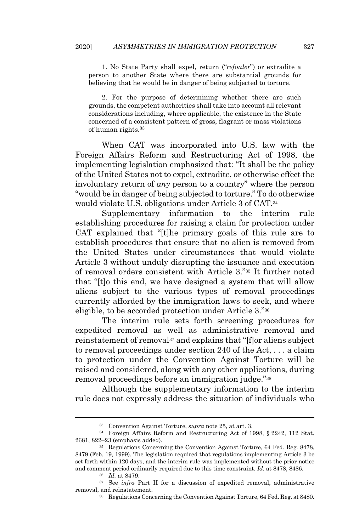1. No State Party shall expel, return ("*refouler*") or extradite a person to another State where there are substantial grounds for believing that he would be in danger of being subjected to torture.

2. For the purpose of determining whether there are such grounds, the competent authorities shall take into account all relevant considerations including, where applicable, the existence in the State concerned of a consistent pattern of gross, flagrant or mass violations of human rights. 33

When CAT was incorporated into U.S. law with the Foreign Affairs Reform and Restructuring Act of 1998, the implementing legislation emphasized that: "It shall be the policy of the United States not to expel, extradite, or otherwise effect the involuntary return of *any* person to a country" where the person "would be in danger of being subjected to torture." To do otherwise would violate U.S. obligations under Article 3 of CAT.<sup>34</sup>

Supplementary information to the interim rule establishing procedures for raising a claim for protection under CAT explained that "[t]he primary goals of this rule are to establish procedures that ensure that no alien is removed from the United States under circumstances that would violate Article 3 without unduly disrupting the issuance and execution of removal orders consistent with Article 3."<sup>35</sup> It further noted that "[t]o this end, we have designed a system that will allow aliens subject to the various types of removal proceedings currently afforded by the immigration laws to seek, and where eligible, to be accorded protection under Article 3."<sup>36</sup>

The interim rule sets forth screening procedures for expedited removal as well as administrative removal and reinstatement of removal<sup>37</sup> and explains that "[f]or aliens subject to removal proceedings under section 240 of the Act, . . . a claim to protection under the Convention Against Torture will be raised and considered, along with any other applications, during removal proceedings before an immigration judge."<sup>38</sup>

Although the supplementary information to the interim rule does not expressly address the situation of individuals who

<sup>33</sup> Convention Against Torture, *supra* note 25, at art. 3.

<sup>34</sup> Foreign Affairs Reform and Restructuring Act of 1998, § 2242, 112 Stat. 2681, 822–23 (emphasis added).

<sup>35</sup> Regulations Concerning the Convention Against Torture, 64 Fed. Reg. 8478, 8479 (Feb. 19, 1999). The legislation required that regulations implementing Article 3 be set forth within 120 days, and the interim rule was implemented without the prior notice and comment period ordinarily required due to this time constraint. *Id.* at 8478, 8486.

<sup>36</sup> *Id.* at 8479.

<sup>&</sup>lt;sup>37</sup> See *infra* Part II for a discussion of expedited removal, administrative removal, and reinstatement.

<sup>38</sup> Regulations Concerning the Convention Against Torture, 64 Fed. Reg. at 8480.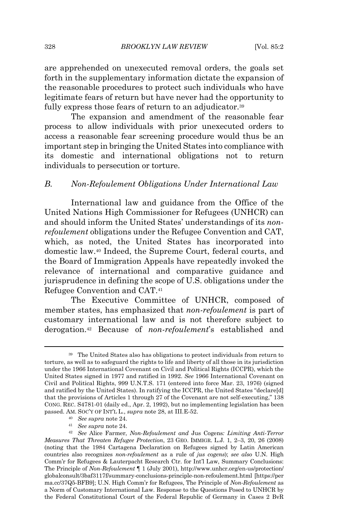are apprehended on unexecuted removal orders, the goals set forth in the supplementary information dictate the expansion of the reasonable procedures to protect such individuals who have legitimate fears of return but have never had the opportunity to fully express those fears of return to an adjudicator.<sup>39</sup>

The expansion and amendment of the reasonable fear process to allow individuals with prior unexecuted orders to access a reasonable fear screening procedure would thus be an important step in bringing the United States into compliance with its domestic and international obligations not to return individuals to persecution or torture.

#### *B. Non-Refoulement Obligations Under International Law*

International law and guidance from the Office of the United Nations High Commissioner for Refugees (UNHCR) can and should inform the United States' understandings of its *nonrefoulement* obligations under the Refugee Convention and CAT, which, as noted, the United States has incorporated into domestic law.<sup>40</sup> Indeed, the Supreme Court, federal courts, and the Board of Immigration Appeals have repeatedly invoked the relevance of international and comparative guidance and jurisprudence in defining the scope of U.S. obligations under the Refugee Convention and CAT.<sup>41</sup>

The Executive Committee of UNHCR, composed of member states, has emphasized that *non-refoulement* is part of customary international law and is not therefore subject to derogation.<sup>42</sup> Because of *non-refoulement*'s established and

<sup>39</sup> The United States also has obligations to protect individuals from return to torture, as well as to safeguard the rights to life and liberty of all those in its jurisdiction under the 1966 International Covenant on Civil and Political Rights (ICCPR), which the United States signed in 1977 and ratified in 1992. *See* 1966 International Covenant on Civil and Political Rights, 999 U.N.T.S. 171 (entered into force Mar. 23, 1976) (signed and ratified by the United States). In ratifying the ICCPR, the United States "declare[d] that the provisions of Articles 1 through 27 of the Covenant are not self-executing," 138 CONG. REC. S4781-01 (daily ed., Apr. 2, 1992), but no implementing legislation has been passed. AM. SOC'Y OF INT'L L*.*, *supra* note 28, at III.E-52.

<sup>40</sup> *See supra* note 24.

<sup>41</sup> *See supra* note 24.

<sup>42</sup> *See* Alice Farmer, *Non-Refoulement and* Jus Cogens*: Limiting Anti-Terror Measures That Threaten Refugee Protection*, 23 GEO. IMMIGR. L.J. 1, 2–3, 20, 26 (2008) (noting that the 1984 Cartagena Declaration on Refugees signed by Latin American countries also recognizes *non-refoulement* as a rule of *jus cogens*); *see also* U.N. High Comm'r for Refugees & Lauterpacht Research Ctr. for Int'l Law, Summary Conclusions: The Principle of *Non-Refoulement* ¶ 1 (July 2001), http://www.unhcr.org/en-us/protection/ globalconsult/3baf3117f/summary-conclusions-principle-non-refoulement.html [https://per ma.cc/37Q5-BFB9]; U.N. High Comm'r for Refugees, The Principle of *Non-Refoulement* as a Norm of Customary International Law. Response to the Questions Posed to UNHCR by the Federal Constitutional Court of the Federal Republic of Germany in Cases 2 BvR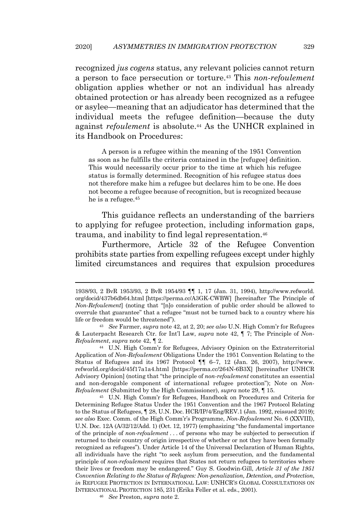recognized *jus cogens* status, any relevant policies cannot return a person to face persecution or torture.<sup>43</sup> This *non-refoulement* obligation applies whether or not an individual has already obtained protection or has already been recognized as a refugee or asylee—meaning that an adjudicator has determined that the individual meets the refugee definition—because the duty against *refoulement* is absolute.<sup>44</sup> As the UNHCR explained in its Handbook on Procedures:

A person is a refugee within the meaning of the 1951 Convention as soon as he fulfills the criteria contained in the [refugee] definition. This would necessarily occur prior to the time at which his refugee status is formally determined. Recognition of his refugee status does not therefore make him a refugee but declares him to be one. He does not become a refugee because of recognition, but is recognized because he is a refugee.<sup>45</sup>

This guidance reflects an understanding of the barriers to applying for refugee protection, including information gaps, trauma, and inability to find legal representation.<sup>46</sup>

Furthermore, Article 32 of the Refugee Convention prohibits state parties from expelling refugees except under highly limited circumstances and requires that expulsion procedures

<sup>44</sup> U.N. High Comm'r for Refugees, Advisory Opinion on the Extraterritorial Application of *Non-Refoulement* Obligations Under the 1951 Convention Relating to the Status of Refugees and its 1967 Protocol *¶¶* 6–7, 12 (Jan. 26, 2007), http://www. refworld.org/docid/45f17a1a4.html [https://perma.cc/264N-6B3X] [hereinafter UNHCR Advisory Opinion] (noting that "the principle of *non-refoulement* constitutes an essential and non-derogable component of international refugee protection"); Note on *Non-Refoulement* (Submitted by the High Commissioner), *supra* note 29, ¶ 15.

<sup>45</sup> U.N. High Comm'r for Refugees, Handbook on Procedures and Criteria for Determining Refugee Status Under the 1951 Convention and the 1967 Protocol Relating to the Status of Refugees, ¶ 28, U.N. Doc. HCR/IP/4/Eng/REV.1 (Jan. 1992, reissued 2019); *see also* Exec. Comm. of the High Comm'r's Programme, *Non-Refoulement* No. 6 (XXVIII), U.N. Doc. 12A (A/32/12/Add. 1) (Oct. 12, 1977) (emphasizing "the fundamental importance of the principle of *non-refoulement* . . . of persons who may be subjected to persecution if returned to their country of origin irrespective of whether or not they have been formally recognized as refugees"). Under Article 14 of the Universal Declaration of Human Rights, all individuals have the right "to seek asylum from persecution, and the fundamental principle of *non-refoulement* requires that States not return refugees to territories where their lives or freedom may be endangered." Guy S. Goodwin-Gill, *Article 31 of the 1951 Convention Relating to the Status of Refugees: Non-penalization, Detention, and Protection*, *in* REFUGEE PROTECTION IN INTERNATIONAL LAW: UNHCR'S GLOBAL CONSULTATIONS ON INTERNATIONAL PROTECTION 185, 231 (Erika Feller et al. eds., 2001).

<sup>46</sup> *See* Preston, *supra* note 2.

<sup>1938/93,</sup> 2 BvR 1953/93, 2 BvR 1954/93 ¶¶ 1, 17 (Jan. 31, 1994), http://www.refworld. org/docid/437b6db64.html [https://perma.cc/A3GK-CWBW] [hereinafter The Principle of *Non-Refoulement*] (noting that "[n]o consideration of public order should be allowed to overrule that guarantee" that a refugee "must not be turned back to a country where his life or freedom would be threatened").

<sup>43</sup> *See* Farmer, *supra* note 42, at 2, 20; *see also* U.N. High Comm'r for Refugees & Lauterpacht Research Ctr. for Int'l Law, *supra* note 42, ¶ 7; The Principle of *Non-Refoulement*, *supra* note 42, ¶ 2.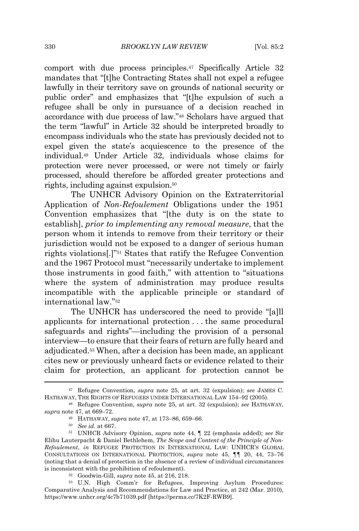comport with due process principles.<sup>47</sup> Specifically Article 32 mandates that "[t]he Contracting States shall not expel a refugee lawfully in their territory save on grounds of national security or public order" and emphasizes that "[t]he expulsion of such a refugee shall be only in pursuance of a decision reached in accordance with due process of law."<sup>48</sup> Scholars have argued that the term "lawful" in Article 32 should be interpreted broadly to encompass individuals who the state has previously decided not to expel given the state's acquiescence to the presence of the individual.<sup>49</sup> Under Article 32, individuals whose claims for protection were never processed, or were not timely or fairly processed, should therefore be afforded greater protections and rights, including against expulsion.<sup>50</sup>

The UNHCR Advisory Opinion on the Extraterritorial Application of *Non-Refoulement* Obligations under the 1951 Convention emphasizes that "[the duty is on the state to establish], *prior to implementing any removal measure*, that the person whom it intends to remove from their territory or their jurisdiction would not be exposed to a danger of serious human rights violations[.]"<sup>51</sup> States that ratify the Refugee Convention and the 1967 Protocol must "necessarily undertake to implement those instruments in good faith," with attention to "situations where the system of administration may produce results incompatible with the applicable principle or standard of international law."<sup>52</sup>

The UNHCR has underscored the need to provide "[a]ll applicants for international protection . . . the same procedural safeguards and rights"—including the provision of a personal interview—to ensure that their fears of return are fully heard and adjudicated. <sup>53</sup> When, after a decision has been made, an applicant cites new or previously unheard facts or evidence related to their claim for protection, an applicant for protection cannot be

<sup>47</sup> Refugee Convention, *supra* note 25, at art. 32 (expulsion); *see* JAMES C. HATHAWAY, THE RIGHTS OF REFUGEES UNDER INTERNATIONAL LAW 154–92 (2005).

<sup>48</sup> Refugee Convention, *supra* note 25, at art. 32 (expulsion); *see* HATHAWAY, *supra* note 47, at 669–72.

<sup>49</sup> HATHAWAY, *supra* note 47, at 173–86, 659–66.

<sup>50</sup> *See id.* at 667.

<sup>51</sup> UNHCR Advisory Opinion, *supra* note 44, ¶ 22 (emphasis added); *see* Sir Elihu Lauterpacht & Daniel Bethlehem, *The Scope and Content of the Principle of Non-Refoulement*, *in* REFUGEE PROTECTION IN INTERNATIONAL LAW: UNHCR'S GLOBAL CONSULTATIONS ON INTERNATIONAL PROTECTION, *supra* note 45, *¶¶* 20, 44, 73–76 (noting that a denial of protection in the absence of a review of individual circumstances is inconsistent with the prohibition of refoulement).

<sup>52</sup> Goodwin-Gill, *supra* note 45, at 216, 218.

<sup>53</sup> U.N. High Comm'r for Refugees, Improving Asylum Procedures: Comparative Analysis and Recommendations for Law and Practice, at 242 (Mar. 2010), https://www.unhcr.org/4c7b71039.pdf [https://perma.cc/7K2F-RWB9].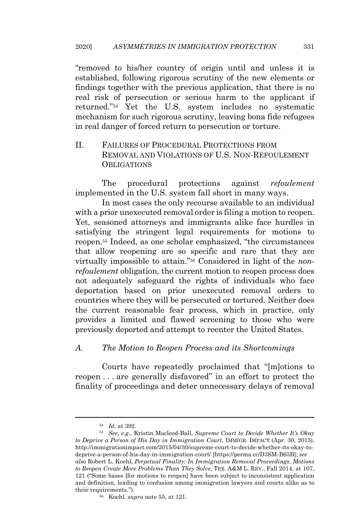"removed to his/her country of origin until and unless it is established, following rigorous scrutiny of the new elements or findings together with the previous application, that there is no real risk of persecution or serious harm to the applicant if returned."<sup>54</sup> Yet the U.S. system includes no systematic mechanism for such rigorous scrutiny, leaving bona fide refugees in real danger of forced return to persecution or torture.

II. FAILURES OF PROCEDURAL PROTECTIONS FROM REMOVAL AND VIOLATIONS OF U.S. NON-REFOULEMENT **OBLIGATIONS** 

The procedural protections against *refoulement* implemented in the U.S. system fall short in many ways.

In most cases the only recourse available to an individual with a prior unexecuted removal order is filing a motion to reopen. Yet, seasoned attorneys and immigrants alike face hurdles in satisfying the stringent legal requirements for motions to reopen.<sup>55</sup> Indeed, as one scholar emphasized, "the circumstances that allow reopening are so specific and rare that they are virtually impossible to attain."<sup>56</sup> Considered in light of the *nonrefoulement* obligation, the current motion to reopen process does not adequately safeguard the rights of individuals who face deportation based on prior unexecuted removal orders to countries where they will be persecuted or tortured. Neither does the current reasonable fear process, which in practice, only provides a limited and flawed screening to those who were previously deported and attempt to reenter the United States.

### *A. The Motion to Reopen Process and its Shortcomings*

Courts have repeatedly proclaimed that "[m]otions to reopen . . . are generally disfavored" in an effort to protect the finality of proceedings and deter unnecessary delays of removal

<sup>54</sup> *Id.* at 392.

<sup>55</sup> *See, e.g.*, Kristin Macleod-Ball, *Supreme Court to Decide Whether It's Okay to Deprive a Person of His Day in Immigration Court*, IMMIGR. IMPACT (Apr. 30, 2015), http://immigrationimpact.com/2015/04/30/supreme-court-to-decide-whether-its-okay-todeprive-a-person-of-his-day-in-immigration-court/ [https://perma.cc/D3SM-B65B]; *see also* Robert L. Koehl, *Perpetual Finality: In Immigration Removal Proceedings, Motions to Reopen Create More Problems Than They Solve*, TEX. A&M L. REV., Fall 2014, at 107, 121 ("Some bases [for motions to reopen] have been subject to inconsistent application and definition, leading to confusion among immigration lawyers and courts alike as to their requirements.").

<sup>56</sup> Koehl, *supra* note 55, at 121.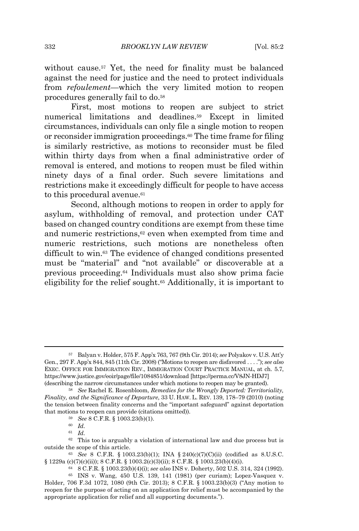without cause.<sup>57</sup> Yet, the need for finality must be balanced against the need for justice and the need to protect individuals from *refoulement*—which the very limited motion to reopen procedures generally fail to do.<sup>58</sup>

First, most motions to reopen are subject to strict numerical limitations and deadlines.<sup>59</sup> Except in limited circumstances, individuals can only file a single motion to reopen or reconsider immigration proceedings. <sup>60</sup> The time frame for filing is similarly restrictive, as motions to reconsider must be filed within thirty days from when a final administrative order of removal is entered, and motions to reopen must be filed within ninety days of a final order. Such severe limitations and restrictions make it exceedingly difficult for people to have access to this procedural avenue.<sup>61</sup>

Second, although motions to reopen in order to apply for asylum, withholding of removal, and protection under CAT based on changed country conditions are exempt from these time and numeric restrictions,<sup>62</sup> even when exempted from time and numeric restrictions, such motions are nonetheless often difficult to win.<sup>63</sup> The evidence of changed conditions presented must be "material" and "not available" or discoverable at a previous proceeding.<sup>64</sup> Individuals must also show prima facie eligibility for the relief sought.<sup>65</sup> Additionally, it is important to

<sup>61</sup> *Id.*

<sup>57</sup> Balyan v. Holder, 575 F. App'x 763, 767 (9th Cir. 2014); *see* Polyakov v. U.S. Att'y Gen., 297 F. App'x 844, 845 (11th Cir. 2008) ("Motions to reopen are disfavored . . . ."); *see also* EXEC. OFFICE FOR IMMIGRATION REV., IMMIGRATION COURT PRACTICE MANUAL, at ch. 5.7, https://www.justice.gov/eoir/page/file/1084851/download [https://perma.cc/V8JN-HDJ7] (describing the narrow circumstances under which motions to reopen may be granted).

<sup>58</sup> *See* Rachel E. Rosenbloom, *Remedies for the Wrongly Deported: Territoriality, Finality, and the Significance of Departure*, 33 U. HAW. L. REV. 139, 178–79 (2010) (noting the tension between finality concerns and the "important safeguard" against deportation that motions to reopen can provide (citations omitted)).

<sup>59</sup> *See* 8 C.F.R. § 1003.23(b)(1).

<sup>60</sup> *Id.*

<sup>62</sup> This too is arguably a violation of international law and due process but is outside the scope of this article.

<sup>63</sup> *See* 8 C.F.R. § 1003.23(b)(1); INA § 240(c)(7)(C)(ii) (codified as 8.U.S.C. § 1229a (c)(7)(c)(ii)); 8 C.F.R. § 1003.2(c)(3)(ii); 8 C.F.R. § 1003.23(b)(4)(i).

<sup>64</sup> 8 C.F.R. § 1003.23(b)(4)(i); *see also* INS v. Doherty, 502 U.S. 314, 324 (1992).

<sup>65</sup> INS v. Wang, 450 U.S. 139, 141 (1981) (per curiam); Lopez-Vasquez v. Holder, 706 F.3d 1072, 1080 (9th Cir. 2013); 8 C.F.R. § 1003.23(b)(3) ("Any motion to reopen for the purpose of acting on an application for relief must be accompanied by the appropriate application for relief and all supporting documents.").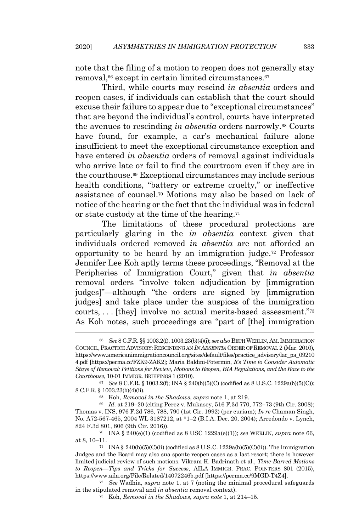note that the filing of a motion to reopen does not generally stay removal,<sup>66</sup> except in certain limited circumstances.<sup>67</sup>

Third, while courts may rescind *in absentia* orders and reopen cases, if individuals can establish that the court should excuse their failure to appear due to "exceptional circumstances" that are beyond the individual's control, courts have interpreted the avenues to rescinding *in absentia* orders narrowly.<sup>68</sup> Courts have found, for example, a car's mechanical failure alone insufficient to meet the exceptional circumstance exception and have entered *in absentia* orders of removal against individuals who arrive late or fail to find the courtroom even if they are in the courthouse.<sup>69</sup> Exceptional circumstances may include serious health conditions, "battery or extreme cruelty," or ineffective assistance of counsel. <sup>70</sup> Motions may also be based on lack of notice of the hearing or the fact that the individual was in federal or state custody at the time of the hearing.<sup>71</sup>

The limitations of these procedural protections are particularly glaring in the *in absentia* context given that individuals ordered removed *in absentia* are not afforded an opportunity to be heard by an immigration judge.<sup>72</sup> Professor Jennifer Lee Koh aptly terms these proceedings, "Removal at the Peripheries of Immigration Court," given that *in absentia* removal orders "involve token adjudication by [immigration judges]"—although "the orders are signed by [immigration judges] and take place under the auspices of the immigration courts, . . . [they] involve no actual merits-based assessment." 73 As Koh notes, such proceedings are "part of [the] immigration

<sup>66</sup> *See* 8 C.F.R. §§ 1003.2(f), 1003.23(b)(4)(i); *see also* BETHWERLIN, AM. IMMIGRATION COUNCIL, PRACTICE ADVISORY: RESCINDING AN *IN ABSENTIA* ORDER OF REMOVAL 2 (Mar. 2010), https://www.americanimmigrationcouncil.org/sites/default/files/practice\_advisory/lac\_pa\_09210 4.pdf [https://perma.cc/FZK9-ZAK2]; Maria Baldini-Potermin, *It's Time to Consider Automatic Stays of Removal: Petitions for Review, Motions to Reopen, BIA Regulations, and the Race to the Courthouse*, 10-01 IMMIGR. BRIEFINGS 1 (2010).

<sup>67</sup> *See* 8 C.F.R. § 1003.2(f); INA § 240(b)(5)(C) (codified as 8 U.S.C. 1229a(b)(5)(C)); 8 C.F.R. § 1003.23(b)(4)(ii).

<sup>68</sup> Koh, *Removal in the Shadows*, *supra* note 1, at 219.

<sup>69</sup> *Id.* at 219–20 (citing Perez v. Mukasey, 516 F.3d 770, 772–73 (9th Cir. 2008); Thomas v. INS, 976 F.2d 786, 788, 790 (1st Cir. 1992) (per curiam); *In re* Chaman Singh, No. A72-567-465, 2004 WL 3187212, at \*1–2 (B.I.A. Dec. 20, 2004); Arredondo v. Lynch, 824 F.3d 801, 806 (9th Cir. 2016)).

<sup>70</sup> INA § 240(e)(1) (codified as 8 USC 1229a(e)(1)); *see* WERLIN, *supra* note 66, at 8, 10–11.

<sup>&</sup>lt;sup>71</sup> INA § 240(b)(5)(C)(ii) (codified as 8 U.S.C. 1229a(b)(5)(C)(ii)). The Immigration Judges and the Board may also sua sponte reopen cases as a last resort; there is however limited judicial review of such motions. Vikram K. Badrinath et al., *Time-Barred Motions to Reopen—Tips and Tricks for Success*, AILA IMMIGR. PRAC. POINTERS 801 (2015), https://www.aila.org/File/Related/14072246b.pdf [https://perma.cc/9MGD-T4Z4].

<sup>72</sup> *See* Wadhia, *supra* note 1, at 7 (noting the minimal procedural safeguards in the stipulated removal and *in absentia* removal context).

<sup>73</sup> Koh, *Removal in the Shadows*, *supra note* 1, at 214–15.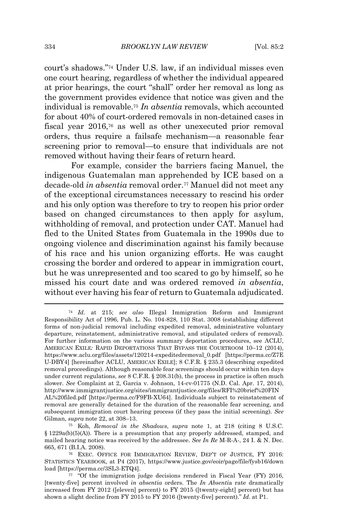court's shadows."<sup>74</sup> Under U.S. law, if an individual misses even one court hearing, regardless of whether the individual appeared at prior hearings, the court "shall" order her removal as long as the government provides evidence that notice was given and the individual is removable.<sup>75</sup> *In absentia* removals, which accounted for about 40% of court-ordered removals in non-detained cases in fiscal year 2016,<sup>76</sup> as well as other unexecuted prior removal orders, thus require a failsafe mechanism—a reasonable fear screening prior to removal—to ensure that individuals are not removed without having their fears of return heard.

For example, consider the barriers facing Manuel, the indigenous Guatemalan man apprehended by ICE based on a decade-old *in absentia* removal order.<sup>77</sup> Manuel did not meet any of the exceptional circumstances necessary to rescind his order and his only option was therefore to try to reopen his prior order based on changed circumstances to then apply for asylum, withholding of removal, and protection under CAT. Manuel had fled to the United States from Guatemala in the 1990s due to ongoing violence and discrimination against his family because of his race and his union organizing efforts. He was caught crossing the border and ordered to appear in immigration court, but he was unrepresented and too scared to go by himself, so he missed his court date and was ordered removed *in absentia*, without ever having his fear of return to Guatemala adjudicated.

<sup>74</sup> *Id.* at 215; *see also* Illegal Immigration Reform and Immigrant Responsibility Act of 1996, Pub. L. No. 104-828, 110 Stat. 3008 (establishing different forms of non-judicial removal including expedited removal, administrative voluntary departure, reinstatement, administrative removal, and stipulated orders of removal). For further information on the various summary deportation procedures, see ACLU, AMERICAN EXILE*:* RAPID DEPORTATIONS THAT BYPASS THE COURTROOM 10–12 (2014), https://www.aclu.org/files/assets/120214-expeditedremoval\_0.pdf [https://perma.cc/Z7E U-DBY4] [hereinafter ACLU, AMERICAN EXILE]; 8 C.F.R. § 235.3 (describing expedited removal proceedings). Although reasonable fear screenings should occur within ten days under current regulations, *see* 8 C.F.R. § 208.31(b), the process in practice is often much slower. *See* Complaint at 2, Garcia v. Johnson, 14-cv-01775 (N.D. Cal. Apr. 17, 2014), http://www.immigrantjustice.org/sites/immigrantjustice.org/files/RFI%20brief%20FIN AL%20filed.pdf [https://perma.cc/F9FB-XU64]. Individuals subject to reinstatement of removal are generally detained for the duration of the reasonable fear screening, and subsequent immigration court hearing process (if they pass the initial screening). *See* Gilman, *supra* note 22, at 308–13.

<sup>75</sup> Koh, *Removal in the Shadows*, *supra* note 1, at 218 (citing 8 U.S.C. § 1229a(b)(5)(A)). There is a presumption that any properly addressed, stamped, and mailed hearing notice was received by the addressee. *See In Re* M-R-A-, 24 I. & N. Dec. 665, 671 (B.I.A. 2008).

<sup>76</sup> EXEC. OFFICE FOR IMMIGRATION REVIEW, DEP'T OF JUSTICE, FY 2016: STATISTICS YEARBOOK, at P4 (2017), https://www.justice.gov/eoir/page/file/fysb16/down load [https://perma.cc/3SL3-ETQ4].

<sup>77</sup> "Of the immigration judge decisions rendered in Fiscal Year (FY) 2016, [twenty-five] percent involved *in absentia* orders. The *In Absenti*a rate dramatically increased from FY 2012 ([eleven] percent) to FY 2015 ([twenty-eight] percent) but has shown a slight decline from FY 2015 to FY 2016 ([twenty-five] percent)." *Id.* at P1.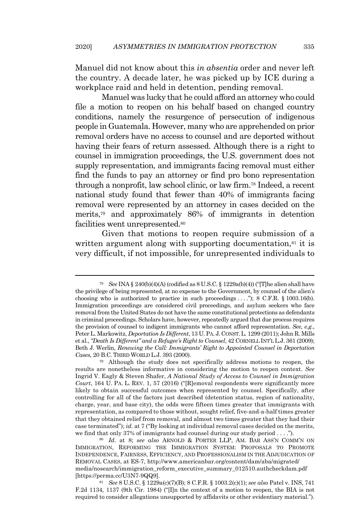Manuel did not know about this *in absentia* order and never left the country. A decade later, he was picked up by ICE during a workplace raid and held in detention, pending removal.

Manuel was lucky that he could afford an attorney who could file a motion to reopen on his behalf based on changed country conditions, namely the resurgence of persecution of indigenous people in Guatemala. However, many who are apprehended on prior removal orders have no access to counsel and are deported without having their fears of return assessed. Although there is a right to counsel in immigration proceedings, the U.S. government does not supply representation, and immigrants facing removal must either find the funds to pay an attorney or find pro bono representation through a nonprofit, law school clinic, or law firm. <sup>78</sup> Indeed, a recent national study found that fewer than 40% of immigrants facing removal were represented by an attorney in cases decided on the merits,<sup>79</sup> and approximately 86% of immigrants in detention facilities went unrepresented.<sup>80</sup>

Given that motions to reopen require submission of a written argument along with supporting documentation, $s<sup>1</sup>$  it is very difficult, if not impossible, for unrepresented individuals to

<sup>81</sup> *See* 8 U.S.C. § 1229a(c)(7)(B); 8 C.F.R. § 1003.2(c)(1); *see also* Patel v. INS, 741 F.2d 1134, 1137 (9th Cir. 1984) ("[I]n the context of a motion to reopen, the BIA is not required to consider allegations unsupported by affidavits or other evidentiary material.").

<sup>78</sup> *See* INA § 240(b)(4)(A) (codified as 8 U.S.C. § 1229a(b)(4)) ("[T]he alien shall have the privilege of being represented, at no expense to the Government, by counsel of the alien's choosing who is authorized to practice in such proceedings  $\dots$ "); 8 C.F.R. § 1003.16(b). Immigration proceedings are considered civil proceedings, and asylum seekers who face removal from the United States do not have the same constitutional protections as defendants in criminal proceedings. Scholars have, however, repeatedly argued that due process requires the provision of counsel to indigent immigrants who cannot afford representation. *See, e.g.*, Peter L. Markowitz, *Deportation Is Different*, 13 U.PA. J. CONST.L. 1299 (2011); John R. Mills et al., *"Death Is Different" and a Refugee's Right to Counsel*, 42 CORNELL INT'L L.J. 361 (2009); Beth J. Werlin, *Renewing the Call: Immigrants' Right to Appointed Counsel in Deportation Cases*, 20 B.C. THIRD WORLD L.J. 393 (2000).

<sup>79</sup> Although the study does not specifically address motions to reopen, the results are nonetheless informative in considering the motion to reopen context. *See* Ingrid V. Eagly & Steven Shafer, *A National Study of Access to Counsel in Immigration Court*, 164 U. PA. L. REV. 1, 57 (2016) ("[R]emoval respondents were significantly more likely to obtain successful outcomes when represented by counsel. Specifically, after controlling for all of the factors just described (detention status, region of nationality, charge, year, and base city), the odds were fifteen times greater that immigrants with representation, as compared to those without, sought relief, five-and-a-half times greater that they obtained relief from removal, and almost two times greater that they had their case terminated"); *id.* at 7 ("By looking at individual removal cases decided on the merits, we find that only 37% of immigrants had counsel during our study period . . . .").

<sup>80</sup> *Id.* at 8; *see also* ARNOLD & PORTER LLP, AM. BAR ASS'N COMM'N ON IMMIGRATION, REFORMING THE IMMIGRATION SYSTEM: PROPOSALS TO PROMOTE INDEPENDENCE, FAIRNESS, EFFICIENCY, AND PROFESSIONALISM IN THE ADJUDICATION OF REMOVAL CASES, at ES-7, http://www.americanbar.org/content/dam/aba/migrated/ media/nosearch/immigration\_reform\_executive\_summary\_012510.authcheckdam.pdf [https://perma.cc/U3N7-9QQ9].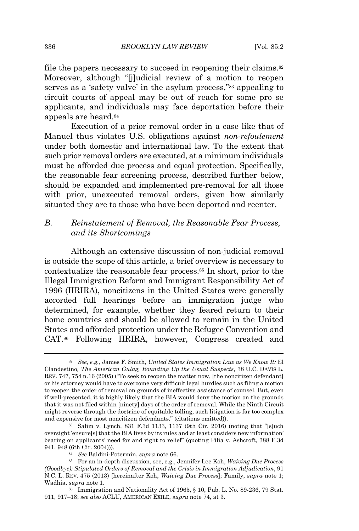file the papers necessary to succeed in reopening their claims.<sup>82</sup> Moreover, although "[j]udicial review of a motion to reopen serves as a 'safety valve' in the asylum process,"<sup>83</sup> appealing to circuit courts of appeal may be out of reach for some pro se applicants, and individuals may face deportation before their appeals are heard.<sup>84</sup>

Execution of a prior removal order in a case like that of Manuel thus violates U.S. obligations against *non-refoulement* under both domestic and international law. To the extent that such prior removal orders are executed, at a minimum individuals must be afforded due process and equal protection. Specifically, the reasonable fear screening process, described further below, should be expanded and implemented pre-removal for all those with prior, unexecuted removal orders, given how similarly situated they are to those who have been deported and reenter.

# *B. Reinstatement of Removal, the Reasonable Fear Process, and its Shortcomings*

Although an extensive discussion of non-judicial removal is outside the scope of this article, a brief overview is necessary to contextualize the reasonable fear process.<sup>85</sup> In short, prior to the Illegal Immigration Reform and Immigrant Responsibility Act of 1996 (IIRIRA), noncitizens in the United States were generally accorded full hearings before an immigration judge who determined, for example, whether they feared return to their home countries and should be allowed to remain in the United States and afforded protection under the Refugee Convention and CAT.<sup>86</sup> Following IIRIRA, however, Congress created and

<sup>82</sup> *See, e.g.*, James F. Smith, *United States Immigration Law as We Know It:* El Clandestino*, The American Gulag, Rounding Up the Usual Suspects*, 38 U.C. DAVIS L. REV. 747, 754 n.16 (2005) ("To seek to reopen the matter now, [the noncitizen defendant] or his attorney would have to overcome very difficult legal hurdles such as filing a motion to reopen the order of removal on grounds of ineffective assistance of counsel. But, even if well-presented, it is highly likely that the BIA would deny the motion on the grounds that it was not filed within [ninety] days of the order of removal. While the Ninth Circuit might reverse through the doctrine of equitable tolling, such litigation is far too complex and expensive for most noncitizen defendants." (citations omitted)).

<sup>83</sup> Salim v. Lynch, 831 F.3d 1133, 1137 (9th Cir. 2016) (noting that "[s]uch oversight 'ensure[s] that the BIA lives by its rules and at least considers new information' bearing on applicants' need for and right to relief" (quoting Pilia v. Ashcroft, 388 F.3d 941, 948 (6th Cir. 2004))).

<sup>84</sup> *See* Baldini-Potermin, *supra* note 66.

<sup>85</sup> For an in-depth discussion, see, e.g., Jennifer Lee Koh, *Waiving Due Process (Goodbye): Stipulated Orders of Removal and the Crisis in Immigration Adjudication*, 91 N.C. L. REV. 475 (2013) [hereinafter Koh, *Waiving Due Process*]; Family, *supra* note 1; Wadhia, *supra* note 1.

<sup>86</sup> Immigration and Nationality Act of 1965, § 10, Pub. L. No. 89-236, 79 Stat. 911, 917–18; *see also* ACLU, AMERICAN EXILE, *supra* note 74, at 3.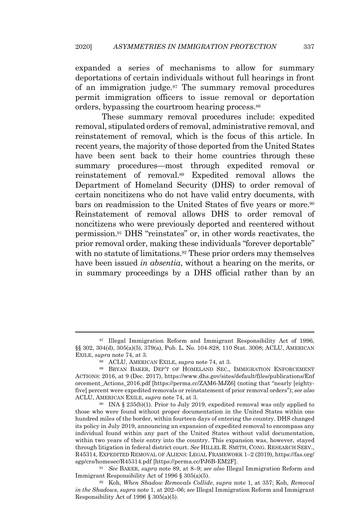expanded a series of mechanisms to allow for summary deportations of certain individuals without full hearings in front of an immigration judge. <sup>87</sup> The summary removal procedures permit immigration officers to issue removal or deportation orders, bypassing the courtroom hearing process. 88

These summary removal procedures include: expedited removal, stipulated orders of removal, administrative removal, and reinstatement of removal, which is the focus of this article. In recent years, the majority of those deported from the United States have been sent back to their home countries through these summary procedures—most through expedited removal or reinstatement of removal.<sup>89</sup> Expedited removal allows the Department of Homeland Security (DHS) to order removal of certain noncitizens who do not have valid entry documents, with bars on readmission to the United States of five years or more.<sup>90</sup> Reinstatement of removal allows DHS to order removal of noncitizens who were previously deported and reentered without permission.<sup>91</sup> DHS "reinstates" or, in other words reactivates, the prior removal order, making these individuals "forever deportable" with no statute of limitations.<sup>92</sup> These prior orders may themselves have been issued *in absentia*, without a hearing on the merits, or in summary proceedings by a DHS official rather than by an

<sup>87</sup> Illegal Immigration Reform and Immigrant Responsibility Act of 1996, §§ 302, 304(d), 305(a)(5), 379(a), Pub. L. No. 104-828, 110 Stat. 3008; ACLU, AMERICAN EXILE, *supra* note 74, at 3.

<sup>88</sup> ACLU, AMERICAN EXILE, *supra* note 74, at 3.

<sup>89</sup> BRYAN BAKER, DEP'T OF HOMELAND SEC., IMMIGRATION ENFORCEMENT ACTIONS: 2016, at 9 (Dec. 2017), https://www.dhs.gov/sites/default/files/publications/Enf orcement\_Actions\_2016.pdf [https://perma.cc/ZAM6-MJZ6] (noting that "nearly [eightyfive] percent were expedited removals or reinstatement of prior removal orders"); *see also* ACLU, AMERICAN EXILE, *supra* note 74, at 3.

<sup>&</sup>lt;sup>90</sup> INA  $\S 235(b)(1)$ . Prior to July 2019, expedited removal was only applied to those who were found without proper documentation in the United States within one hundred miles of the border, within fourteen days of entering the country. DHS changed its policy in July 2019, announcing an expansion of expedited removal to encompass any individual found within any part of the United States without valid documentation, within two years of their entry into the country. This expansion was, however, stayed through litigation in federal district court. *See* HILLEL R. SMITH, CONG. RESEARCH SERV., R45314, EXPEDITED REMOVAL OF ALIENS: LEGAL FRAMEWORK 1–2 (2019), https://fas.org/ sgp/crs/homesec/R45314.pdf [https://perma.cc/PJ6B-EM2F].

<sup>91</sup> *See* BAKER, *supra* note 89, at 8–9; *see also* Illegal Immigration Reform and Immigrant Responsibility Act of 1996 § 305(a)(5).

<sup>92</sup> Koh, *When Shadow Removals Collide*, *supra* note 1, at 357; Koh, *Removal in the Shadows*, *supra* note 1, at 202–06; *see* Illegal Immigration Reform and Immigrant Responsibility Act of 1996 § 305(a)(5).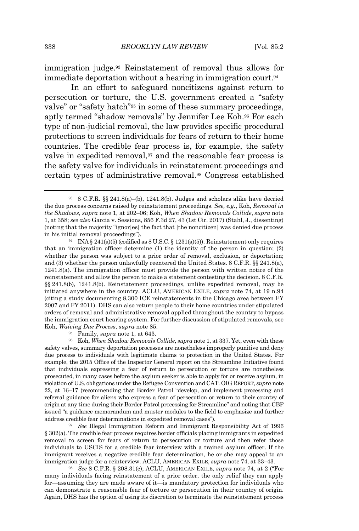immigration judge.<sup>93</sup> Reinstatement of removal thus allows for immediate deportation without a hearing in immigration court. 94

In an effort to safeguard noncitizens against return to persecution or torture, the U.S. government created a "safety valve" or "safety hatch"<sup>95</sup> in some of these summary proceedings, aptly termed "shadow removals" by Jennifer Lee Koh. <sup>96</sup> For each type of non-judicial removal, the law provides specific procedural protections to screen individuals for fears of return to their home countries. The credible fear process is, for example, the safety valve in expedited removal,<sup>97</sup> and the reasonable fear process is the safety valve for individuals in reinstatement proceedings and certain types of administrative removal. <sup>98</sup> Congress established

<sup>96</sup> Koh, *When Shadow Removals Collide*, *supra* note 1, at 337. Yet, even with these safety valves, summary deportation processes are nonetheless improperly punitive and deny due process to individuals with legitimate claims to protection in the United States. For example, the 2015 Office of the Inspector General report on the Streamline Initiative found that individuals expressing a fear of return to persecution or torture are nonetheless prosecuted, in many cases before the asylum seeker is able to apply for or receive asylum, in violation of U.S. obligations under the Refugee Convention and CAT. OIGREPORT, *supra* note 22, at 16–17 (recommending that Border Patrol "develop, and implement processing and referral guidance for aliens who express a fear of persecution or return to their country of origin at any time during their Border Patrol processing for Streamline" and noting that CBP issued "a guidance memorandum and muster modules to the field to emphasize and further address credible fear determinations in expedited removal cases").

<sup>97</sup> *See* Illegal Immigration Reform and Immigrant Responsibility Act of 1996 § 302(a). The credible fear process requires border officials placing immigrants in expedited removal to screen for fears of return to persecution or torture and then refer those individuals to USCIS for a credible fear interview with a trained asylum officer. If the immigrant receives a negative credible fear determination, he or she may appeal to an immigration judge for a reinterview. ACLU, AMERICAN EXILE, *supra* note 74, at 33–43.

<sup>98</sup> *See* 8 C.F.R. § 208.31(c); ACLU, AMERICAN EXILE, *supra* note 74, at 2 ("For many individuals facing reinstatement of a prior order, the only relief they can apply for—assuming they are made aware of it—is mandatory protection for individuals who can demonstrate a reasonable fear of torture or persecution in their country of origin. Again, DHS has the option of using its discretion to terminate the reinstatement process

 $93 \text{ } 8 \text{ C.F.R. }$  §§ 241.8(a)–(b), 1241.8(b). Judges and scholars alike have decried the due process concerns raised by reinstatement proceedings. *See, e.g.*, Koh, *Removal in the Shadows*, *supra* note 1, at 202–06; Koh, *When Shadow Removals Collide*, *supra* note 1, at 358; *see also* Garcia v. Sessions, 856 F.3d 27, 43 (1st Cir. 2017) (Stahl, J., dissenting) (noting that the majority "ignor[es] the fact that [the noncitizen] was denied due process in his initial removal proceedings").

<sup>&</sup>lt;sup>94</sup> INA § 241(a)(5) (codified as  $8 \text{ U.S.C.}$  § 1231(a)(5)). Reinstatement only requires that an immigration officer determine (1) the identity of the person in question; (2) whether the person was subject to a prior order of removal, exclusion, or deportation; and (3) whether the person unlawfully reentered the United States. 8 C.F.R. §§ 241.8(a), 1241.8(a). The immigration officer must provide the person with written notice of the reinstatement and allow the person to make a statement contesting the decision. 8 C.F.R. §§ 241.8(b), 1241.8(b). Reinstatement proceedings, unlike expedited removal, may be initiated anywhere in the country. ACLU, AMERICAN EXILE, *supra* note 74, at 19 n.94 (citing a study documenting 8,300 ICE reinstatements in the Chicago area between FY 2007 and FY 2011). DHS can also return people to their home countries under stipulated orders of removal and administrative removal applied throughout the country to bypass the immigration court hearing system. For further discussion of stipulated removals, see Koh, *Waiving Due Process*, *supra* note 85.

<sup>95</sup> Family, *supra* note 1, at 643.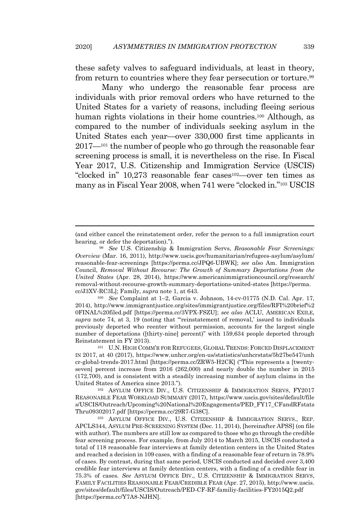these safety valves to safeguard individuals, at least in theory, from return to countries where they fear persecution or torture.<sup>99</sup>

Many who undergo the reasonable fear process are individuals with prior removal orders who have returned to the United States for a variety of reasons, including fleeing serious human rights violations in their home countries.<sup>100</sup> Although, as compared to the number of individuals seeking asylum in the United States each year—over 330,000 first time applicants in 2017—<sup>101</sup> the number of people who go through the reasonable fear screening process is small, it is nevertheless on the rise. In Fiscal Year 2017, U.S. Citizenship and Immigration Service (USCIS) "clocked in" 10,273 reasonable fear cases102—over ten times as many as in Fiscal Year 2008, when 741 were "clocked in."<sup>103</sup> USCIS

<sup>100</sup> *See* Complaint at 1–2, Garcia v. Johnson, 14-cv-01775 (N.D. Cal. Apr. 17, 2014), http://www.immigrantjustice.org/sites/immigrantjustice.org/files/RFI%20brief%2 0FINAL%20filed.pdf [https://perma.cc/3VPX-FSZU]; *see also* ACLU, AMERICAN EXILE, *supra* note 74, at 3, 19 (noting that "'reinstatement of removal,' issued to individuals previously deported who reenter without permission, accounts for the largest single number of deportations ([thirty-nine] percent)" with 159,634 people deported through Reinstatement in FY 2013).

<sup>101</sup> U.N. HIGH COMM'R FOR REFUGEES, GLOBAL TRENDS: FORCED DISPLACEMENT IN 2017, at 40 (2017), https://www.unhcr.org/en-us/statistics/unhcrstats/5b27be547/unh cr-global-trends-2017.html [https://perma.cc/ZRW5-H2CK] ("This represents a [twentyseven] percent increase from 2016 (262,000) and nearly double the number in 2015 (172,700), and is consistent with a steadily increasing number of asylum claims in the United States of America since 2013.").

<sup>102</sup> ASYLUM OFFICE DIV., U.S. CITIZENSHIP & IMMIGRATION SERVS, FY2017 REASONABLE FEAR WORKLOAD SUMMARY (2017), https://www.uscis.gov/sites/default/file s/USCIS/Outreach/Upcoming%20National%20Engagements/PED\_FY17\_CFandRFstats Thru09302017.pdf [https://perma.cc/29R7-G38C].

<sup>103</sup> ASYLUM OFFICE DIV., U.S. CITIZENSHIP & IMMIGRATION SERVS., REP. APCLS344, ASYLUM PRE-SCREENING SYSTEM (Dec. 11, 2014), [hereinafter APSS] (on file with author). The numbers are still low as compared to those who go through the credible fear screening process. For example, from July 2014 to March 2015, USCIS conducted a total of 118 reasonable fear interviews at family detention centers in the United States and reached a decision in 109 cases, with a finding of a reasonable fear of return in 78.9% of cases. By contrast, during that same period, USCIS conducted and decided over 3,400 credible fear interviews at family detention centers, with a finding of a credible fear in 75.3% of cases. *See* ASYLUM OFFICE DIV., U.S. CITIZENSHIP & IMMIGRATION SERVS, FAMILY FACILITIES REASONABLE FEAR/CREDIBLE FEAR (Apr. 27, 2015), http://www.uscis. gov/sites/default/files/USCIS/Outreach/PED-CF-RF-familiy-facilities-FY2015Q2.pdf [https://perma.cc/Y7A8-NJHN].

<sup>(</sup>and either cancel the reinstatement order, refer the person to a full immigration court hearing, or defer the deportation).").

<sup>99</sup> *See* U.S. Citizenship & Immigration Servs, *Reasonable Fear Screenings: Overview* (Mar. 16, 2011), http://www.uscis.gov/humanitarian/refugees-asylum/asylum/ reasonable-fear-screenings [https://perma.cc/JPQ6-UBWK]; *see also* Am. Immigration Council, *Removal Without Recourse: The Growth of Summary Deportations from the United States* (Apr. 28, 2014), https://www.americanimmigrationcouncil.org/research/ removal-without-recourse-growth-summary-deportations-united-states [https://perma. cc/J3XV-RC3L]; Family, *supra* note 1, at 643.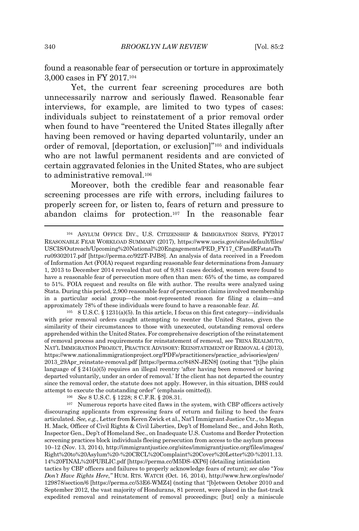found a reasonable fear of persecution or torture in approximately 3,000 cases in FY 2017.<sup>104</sup>

Yet, the current fear screening procedures are both unnecessarily narrow and seriously flawed. Reasonable fear interviews, for example, are limited to two types of cases: individuals subject to reinstatement of a prior removal order when found to have "reentered the United States illegally after having been removed or having departed voluntarily, under an order of removal, [deportation, or exclusion]" <sup>105</sup> and individuals who are not lawful permanent residents and are convicted of certain aggravated felonies in the United States, who are subject to administrative removal.<sup>106</sup>

Moreover, both the credible fear and reasonable fear screening processes are rife with errors, including failures to properly screen for, or listen to, fears of return and pressure to abandon claims for protection.<sup>107</sup> In the reasonable fear

<sup>105</sup> 8 U.S.C. § 1231(a)(5). In this article, I focus on this first category—individuals with prior removal orders caught attempting to reenter the United States, given the similarity of their circumstances to those with unexecuted, outstanding removal orders apprehended within the United States. For comprehensive description ofthe reinstatement of removal process and requirements for reinstatement of removal, see TRINA REALMUTO, NAT'L IMMIGRATION PROJECT, PRACTICE ADVISORY: REINSTATEMENT OF REMOVAL 4 (2013), https://www.nationalimmigrationproject.org/PDFs/practitioners/practice\_advisories/gen/ 2013\_29Apr\_reinstate-removal.pdf [https://perma.cc/848N-JEN8] (noting that "[t]he plain language of  $\S 241(a)(5)$  requires an illegal reentry 'after having been removed or having departed voluntarily, under an order of removal.' If the client has not departed the country since the removal order, the statute does not apply. However, in this situation, DHS could attempt to execute the outstanding order" (emphasis omitted)).

<sup>106</sup> *See* 8 U.S.C. § 1228; 8 C.F.R. § 208.31.

<sup>107</sup> Numerous reports have cited flaws in the system, with CBP officers actively discouraging applicants from expressing fears of return and failing to heed the fears articulated. *See, e.g.*, Letter from Keren Zwick et al., Nat'l Immigrant Justice Ctr.,to Megan H. Mack, Officer of Civil Rights & Civil Liberties, Dep't of Homeland Sec., and John Roth, Inspector Gen., Dep't of Homeland Sec., on Inadequate U.S. Customs and Border Protection screening practices block individuals fleeing persecution from access to the asylum process 10–12 (Nov. 13, 2014), http://immigrantjustice.org/sites/immigrantjustice.org/files/images/ Right%20to%20Asylum%20-%20CRCL%20Complaint%20Cover%20Letter%20-%2011.13. 14%20FINAL%20PUBLIC.pdf [https://perma.cc/M5DS-4XP6] (detailing intimidation

tactics by CBP officers and failures to properly acknowledge fears of return); *see also* "*You Don't Have Rights Here*,*"* HUM. RTS. WATCH (Oct. 16, 2014), http://www.hrw.org/es/node/ 129878/section/6 [https://perma.cc/53E6-WMZ4] (noting that "[b]etween October 2010 and September 2012, the vast majority of Hondurans, 81 percent, were placed in the fast-track expedited removal and reinstatement of removal proceedings; [but] only a miniscule

<sup>104</sup> ASYLUM OFFICE DIV., U.S. CITIZENSHIP & IMMIGRATION SERVS, FY2017 REASONABLE FEAR WORKLOAD SUMMARY (2017), https://www.uscis.gov/sites/default/files/ USCIS/Outreach/Upcoming%20National%20Engagements/PED\_FY17\_CFandRFstatsTh ru09302017.pdf [https://perma.cc/922T-PJB8]. An analysis of data received in a Freedom of Information Act (FOIA) request regarding reasonable fear determinations from January 1, 2013 to December 2014 revealed that out of 9,811 cases decided, women were found to have a reasonable fear of persecution more often than men: 65% of the time, as compared to 51%. FOIA request and results on file with author. The results were analyzed using Stata. During this period, 2,900 reasonable fear of persecution claims involved membership in a particular social group—the most-represented reason for filing a claim—and approximately 78% of these individuals were found to have a reasonable fear. *Id.*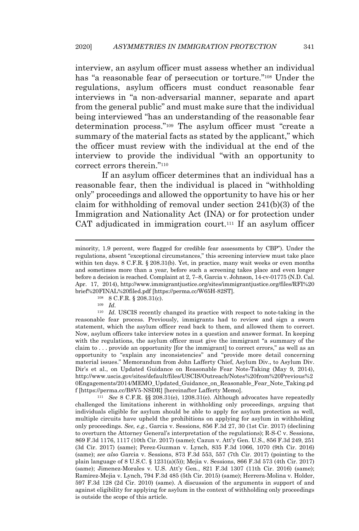interview, an asylum officer must assess whether an individual has "a reasonable fear of persecution or torture."<sup>108</sup> Under the regulations, asylum officers must conduct reasonable fear interviews in "a non-adversarial manner, separate and apart from the general public" and must make sure that the individual being interviewed "has an understanding of the reasonable fear determination process."<sup>109</sup> The asylum officer must "create a summary of the material facts as stated by the applicant," which the officer must review with the individual at the end of the interview to provide the individual "with an opportunity to correct errors therein."<sup>110</sup>

If an asylum officer determines that an individual has a reasonable fear, then the individual is placed in "withholding only" proceedings and allowed the opportunity to have his or her claim for withholding of removal under section 241(b)(3) of the Immigration and Nationality Act (INA) or for protection under CAT adjudicated in immigration court. <sup>111</sup> If an asylum officer

<sup>110</sup> *Id.* USCIS recently changed its practice with respect to note-taking in the reasonable fear process. Previously, immigrants had to review and sign a sworn statement, which the asylum officer read back to them, and allowed them to correct. Now, asylum officers take interview notes in a question and answer format. In keeping with the regulations, the asylum officer must give the immigrant "a summary of the claim to . . . provide an opportunity [for the immigrant] to correct errors," as well as an opportunity to "explain any inconsistencies" and "provide more detail concerning material issues." Memorandum from John Lafferty Chief, Asylum Div., to Asylum Div. Dir's et al., on Updated Guidance on Reasonable Fear Note-Taking (May 9, 2014), http://www.uscis.gov/sites/default/files/USCIS/Outreach/Notes%20from%20Previous%2 0Engagements/2014/MEMO\_Updated\_Guidance\_on\_Reasonable\_Fear\_Note\_Taking.pd f [https://perma.cc/B8V5-NSDR] [hereinafter Lafferty Memo].

<sup>111</sup> *See* 8 C.F.R. §§ 208.31(e), 1208.31(e). Although advocates have repeatedly challenged the limitations inherent in withholding only proceedings, arguing that individuals eligible for asylum should be able to apply for asylum protection as well, multiple circuits have upheld the prohibitions on applying for asylum in withholding only proceedings. *See, e.g.*, Garcia v. Sessions, 856 F.3d 27, 30 (1st Cir. 2017) (declining to overturn the Attorney General's interpretation of the regulations); R-S-C v. Sessions, 869 F.3d 1176, 1117 (10th Cir. 2017) (same); Cazun v. Att'y Gen. U.S., 856 F.3d 249, 251 (3d Cir. 2017) (same); Perez-Guzman v. Lynch, 835 F.3d 1066, 1070 (9th Cir. 2016) (same); *see also* Garcia v. Sessions, 873 F.3d 553, 557 (7th Cir. 2017) (pointing to the plain language of 8 U.S.C. § 1231(a)(5)); Mejia v. Sessions, 866 F.3d 573 (4th Cir. 2017) (same); Jimenez-Morales v. U.S. Att'y Gen*.*, 821 F.3d 1307 (11th Cir. 2016) (same); Ramirez-Mejia v. Lynch, 794 F.3d 485 (5th Cir. 2015) (same); Herrera-Molina v*.* Holder, 597 F.3d 128 (2d Cir. 2010) (same). A discussion of the arguments in support of and against eligibility for applying for asylum in the context of withholding only proceedings is outside the scope of this article.

minority, 1.9 percent, were flagged for credible fear assessments by CBP"). Under the regulations, absent "exceptional circumstances," this screening interview must take place within ten days. 8 C.F.R. § 208.31(b). Yet, in practice, many wait weeks or even months and sometimes more than a year, before such a screening takes place and even longer before a decision is reached. Complaint at 2, 7–8, Garcia v. Johnson, 14-cv-01775 (N.D. Cal. Apr. 17, 2014), http://www.immigrantjustice.org/sites/immigrantjustice.org/files/RFI%20 brief%20FINAL%20filed.pdf [https://perma.cc/W65H-82ST].

<sup>108</sup> 8 C.F.R. § 208.31(c).

<sup>109</sup> *Id.*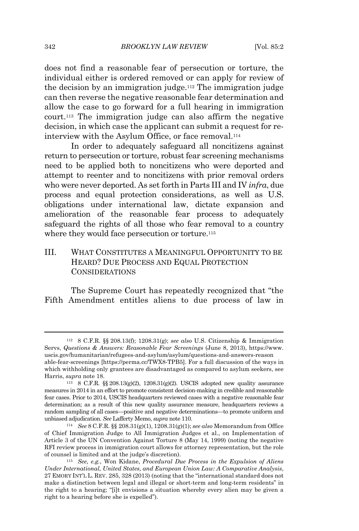does not find a reasonable fear of persecution or torture, the individual either is ordered removed or can apply for review of the decision by an immigration judge.<sup>112</sup> The immigration judge can then reverse the negative reasonable fear determination and allow the case to go forward for a full hearing in immigration court.<sup>113</sup> The immigration judge can also affirm the negative decision, in which case the applicant can submit a request for reinterview with the Asylum Office, or face removal.<sup>114</sup>

In order to adequately safeguard all noncitizens against return to persecution or torture, robust fear screening mechanisms need to be applied both to noncitizens who were deported and attempt to reenter and to noncitizens with prior removal orders who were never deported. As set forth in Parts III and IV *infra*, due process and equal protection considerations, as well as U.S. obligations under international law, dictate expansion and amelioration of the reasonable fear process to adequately safeguard the rights of all those who fear removal to a country where they would face persecution or torture.<sup>115</sup>

III. WHAT CONSTITUTES A MEANINGFUL OPPORTUNITY TO BE HEARD? DUE PROCESS AND EQUAL PROTECTION CONSIDERATIONS

The Supreme Court has repeatedly recognized that "the Fifth Amendment entitles aliens to due process of law in

<sup>112</sup> 8 C.F.R. §§ 208.13(f); 1208.31(g); *see also* U.S. Citizenship & Immigration Servs, *Questions & Answers: Reasonable Fear Screenings* (June 8, 2013), https://www. uscis.gov/humanitarian/refugees-and-asylum/asylum/questions-and-answers-reason able-fear-screenings [https://perma.cc/TWX8-TPB5]. For a full discussion of the ways in which withholding only grantees are disadvantaged as compared to asylum seekers, see Harris, *supra* note 18.

<sup>113</sup> 8 C.F.R. §§ 208.13(g)(2), 1208.31(g)(2). USCIS adopted new quality assurance measures in 2014 in an effort to promote consistent decision-making in credible and reasonable fear cases. Prior to 2014, USCIS headquarters reviewed cases with a negative reasonable fear determination; as a result of this new quality assurance measure, headquarters reviews a random sampling of all cases—positive and negative determinations—to promote uniform and unbiased adjudication. *See* Lafferty Memo, *supra* note 110.

<sup>114</sup> *See* 8 C.F.R. §§ 208.31(g)(1), 1208.31(g)(1); *see also* Memorandum from Office of Chief Immigration Judge to All Immigration Judges et al., on Implementation of Article 3 of the UN Convention Against Torture 8 (May 14, 1999) (noting the negative RFI review process in immigration court allows for attorney representation, but the role of counsel is limited and at the judge's discretion).

<sup>115</sup> *See, e.g.*, Won Kidane, *Procedural Due Process in the Expulsion of Aliens Under International, United States, and European Union Law: A Comparative Analysis*, 27 EMORY INT'L L. REV. 285, 328 (2013) (noting that the "international standard does not make a distinction between legal and illegal or short-term and long-term residents" in the right to a hearing; "[i]t envisions a situation whereby every alien may be given a right to a hearing before she is expelled").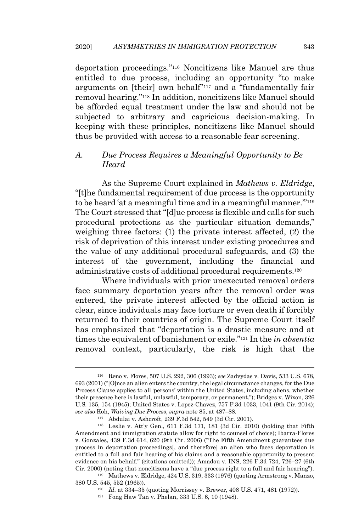deportation proceedings."<sup>116</sup> Noncitizens like Manuel are thus entitled to due process, including an opportunity "to make arguments on [their] own behalf" <sup>117</sup> and a "fundamentally fair removal hearing."<sup>118</sup> In addition, noncitizens like Manuel should be afforded equal treatment under the law and should not be subjected to arbitrary and capricious decision-making. In keeping with these principles, noncitizens like Manuel should thus be provided with access to a reasonable fear screening.

# *A. Due Process Requires a Meaningful Opportunity to Be Heard*

As the Supreme Court explained in *Mathews v. Eldridge*, "[t]he fundamental requirement of due process is the opportunity to be heard 'at a meaningful time and in a meaningful manner."<sup>119</sup> The Court stressed that "[d]ue process is flexible and calls for such procedural protections as the particular situation demands," weighing three factors: (1) the private interest affected, (2) the risk of deprivation of this interest under existing procedures and the value of any additional procedural safeguards, and (3) the interest of the government, including the financial and administrative costs of additional procedural requirements. 120

Where individuals with prior unexecuted removal orders face summary deportation years after the removal order was entered, the private interest affected by the official action is clear, since individuals may face torture or even death if forcibly returned to their countries of origin. The Supreme Court itself has emphasized that "deportation is a drastic measure and at times the equivalent of banishment or exile." <sup>121</sup> In the *in absentia* removal context, particularly, the risk is high that the

<sup>116</sup> Reno v. Flores, 507 U.S. 292, 306 (1993); *see* Zadvydas v. Davis, 533 U.S. 678, 693 (2001) ("[O]nce an alien enters the country, the legal circumstance changes, for the Due Process Clause applies to all 'persons' within the United States, including aliens, whether their presence here is lawful, unlawful, temporary, or permanent."); Bridges v. Wixon, 326 U.S. 135, 154 (1945); United States v. Lopez-Chavez, 757 F.3d 1033, 1041 (9th Cir. 2014); *see also* Koh, *Waiving Due Process*, *supra* note 85, at 487–88.

<sup>117</sup> Abdulai v. Ashcroft, 239 F.3d 542, 549 (3d Cir. 2001).

<sup>118</sup> Leslie v. Att'y Gen., 611 F.3d 171, 181 (3d Cir. 2010) (holding that Fifth Amendment and immigration statute allow for right to counsel of choice); Ibarra-Flores v. Gonzales, 439 F.3d 614, 620 (9th Cir. 2006) ("The Fifth Amendment guarantees due process in deportation proceedings[, and therefore] an alien who faces deportation is entitled to a full and fair hearing of his claims and a reasonable opportunity to present evidence on his behalf." (citations omitted)); Amadou v. INS, 226 F.3d 724, 726–27 (6th Cir. 2000) (noting that noncitizens have a "due process right to a full and fair hearing").

<sup>119</sup> Mathews v. Eldridge, 424 U.S. 319, 333 (1976) (quoting Armstrong v. Manzo, 380 U.S. 545, 552 (1965)).

<sup>120</sup> *Id.* at 334–35 (quoting Morrissey v. Brewer, 408 U.S. 471, 481 (1972)).

<sup>121</sup> Fong Haw Tan v. Phelan, 333 U.S. 6, 10 (1948).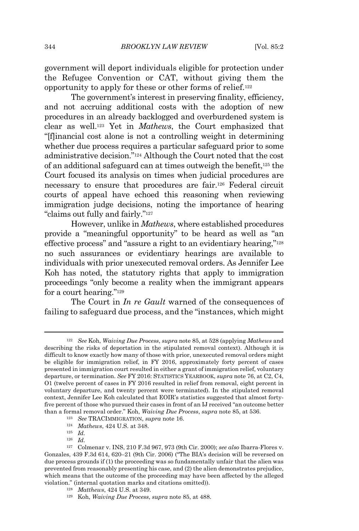government will deport individuals eligible for protection under the Refugee Convention or CAT, without giving them the opportunity to apply for these or other forms of relief.<sup>122</sup>

The government's interest in preserving finality, efficiency, and not accruing additional costs with the adoption of new procedures in an already backlogged and overburdened system is clear as well.<sup>123</sup> Yet in *Mathews*, the Court emphasized that "[f]inancial cost alone is not a controlling weight in determining whether due process requires a particular safeguard prior to some administrative decision." <sup>124</sup> Although the Court noted that the cost of an additional safeguard can at times outweigh the benefit, <sup>125</sup> the Court focused its analysis on times when judicial procedures are necessary to ensure that procedures are fair.<sup>126</sup> Federal circuit courts of appeal have echoed this reasoning when reviewing immigration judge decisions, noting the importance of hearing "claims out fully and fairly." 127

However, unlike in *Mathews*, where established procedures provide a "meaningful opportunity" to be heard as well as "an effective process" and "assure a right to an evidentiary hearing,"<sup>128</sup> no such assurances or evidentiary hearings are available to individuals with prior unexecuted removal orders. As Jennifer Lee Koh has noted, the statutory rights that apply to immigration proceedings "only become a reality when the immigrant appears for a court hearing."<sup>129</sup>

The Court in *In re Gault* warned of the consequences of failing to safeguard due process, and the "instances, which might

<sup>122</sup> *See* Koh, *Waiving Due Process*, *supra* note 85, at 528 (applying *Mathews* and describing the risks of deportation in the stipulated removal context). Although it is difficult to know exactly how many of those with prior, unexecuted removal orders might be eligible for immigration relief, in FY 2016, approximately forty percent of cases presented in immigration court resulted in either a grant of immigration relief, voluntary departure, or termination. *See* FY 2016: STATISTICS YEARBOOK, *supra* note 76, at C2, C4, O1 (twelve percent of cases in FY 2016 resulted in relief from removal, eight percent in voluntary departure, and twenty percent were terminated). In the stipulated removal context, Jennifer Lee Koh calculated that EOIR's statistics suggested that almost fortyfive percent of those who pursued their cases in front of an IJ received "an outcome better than a formal removal order." Koh, *Waiving Due Process*, *supra* note 85, at 536.

<sup>123</sup> *See* TRACIMMIGRATION, *supra* note 16.

<sup>124</sup> *Mathews*, 424 U.S. at 348.

<sup>125</sup> *Id.*

<sup>126</sup> *Id.*

<sup>127</sup> Colmenar v. INS, 210 F.3d 967, 973 (9th Cir. 2000); *see also* Ibarra-Flores v. Gonzales, 439 F.3d 614, 620–21 (9th Cir. 2006) ("The BIA's decision will be reversed on due process grounds if (1) the proceeding was so fundamentally unfair that the alien was prevented from reasonably presenting his case, and (2) the alien demonstrates prejudice, which means that the outcome of the proceeding may have been affected by the alleged violation." (internal quotation marks and citations omitted)).

<sup>128</sup> *Matthews*, 424 U.S. at 349.

<sup>129</sup> Koh, *Waiving Due Process*, *supra* note 85, at 488.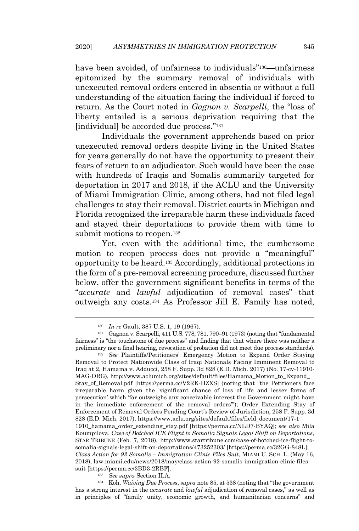have been avoided, of unfairness to individuals<sup>"130</sup>—unfairness epitomized by the summary removal of individuals with unexecuted removal orders entered in absentia or without a full understanding of the situation facing the individual if forced to return. As the Court noted in *Gagnon v. Scarpelli*, the "loss of liberty entailed is a serious deprivation requiring that the [individual] be accorded due process."<sup>131</sup>

Individuals the government apprehends based on prior unexecuted removal orders despite living in the United States for years generally do not have the opportunity to present their fears of return to an adjudicator. Such would have been the case with hundreds of Iraqis and Somalis summarily targeted for deportation in 2017 and 2018, if the ACLU and the University of Miami Immigration Clinic, among others, had not filed legal challenges to stay their removal. District courts in Michigan and Florida recognized the irreparable harm these individuals faced and stayed their deportations to provide them with time to submit motions to reopen. 132

Yet, even with the additional time, the cumbersome motion to reopen process does not provide a "meaningful" opportunity to be heard. <sup>133</sup> Accordingly, additional protections in the form of a pre-removal screening procedure, discussed further below, offer the government significant benefits in terms of the "*accurate* and *lawful* adjudication of removal cases" that outweigh any costs.<sup>134</sup> As Professor Jill E. Family has noted,

<sup>132</sup> *See* Plaintiffs/Petitioners' Emergency Motion to Expand Order Staying Removal to Protect Nationwide Class of Iraqi Nationals Facing Imminent Removal to Iraq at 2, Hamama v. Adducci, 258 F. Supp. 3d 828 (E.D. Mich. 2017) (No. 17-cv-11910- MAG-DRG), http://www.aclumich.org/sites/default/files/Hamama\_Motion\_to\_Expand\_ Stay\_of\_Removal.pdf [https://perma.cc/V2RK-HZXS] (noting that "the Petitioners face irreparable harm given the 'significant chance of loss of life and lesser forms of persecution' which 'far outweighs any conceivable interest the Government might have in the immediate enforcement of the removal orders'"); Order Extending Stay of Enforcement of Removal Orders Pending Court's Review of Jurisdiction, 258 F. Supp. 3d 828 (E.D. Mich. 2017), https://www.aclu.org/sites/default/files/field\_document/17-1 1910\_hamama\_order\_extending\_stay.pdf [https://perma.cc/NLD7-BYAQ]; *see also* Mila Koumpilova, *Case of Botched ICE Flight to Somalia Signals Legal Shift on Deportations*, STAR TRIBUNE (Feb. 7, 2018), http://www.startribune.com/case-of-botched-ice-flight-tosomalia-signals-legal-shift-on-deportations/473252303/ [https://perma.cc/32GG-848L]; *Class Action for 92 Somalis – Immigration Clinic Files Suit*, MIAMI U. SCH. L. (May 16, 2018), law.miami.edu/news/2018/may/class-action-92-somalis-immigration-clinic-filessuit [https://perma.cc/3BD3-2RBF].

<sup>133</sup> *See supra* Section II.A.

<sup>134</sup> Koh, *Waiving Due Process*, *supra* note 85, at 538 (noting that "the government has a strong interest in the *accurate* and *lawful* adjudication of removal cases," as well as in principles of "family unity, economic growth, and humanitarian concerns" and

<sup>130</sup> *In re* Gault, 387 U.S. 1, 19 (1967).

<sup>131</sup> Gagnon v. Scarpelli, 411 U.S. 778, 781, 790–91 (1973) (noting that "fundamental fairness" is "the touchstone of due process" and finding that that where there was neither a preliminary nor a final hearing, revocation of probation did not meet due process standards).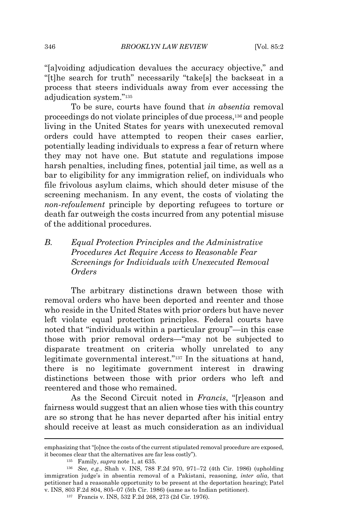"[a]voiding adjudication devalues the accuracy objective," and "[t]he search for truth" necessarily "take[s] the backseat in a process that steers individuals away from ever accessing the adjudication system."<sup>135</sup>

To be sure, courts have found that *in absentia* removal proceedings do not violate principles of due process,<sup>136</sup> and people living in the United States for years with unexecuted removal orders could have attempted to reopen their cases earlier, potentially leading individuals to express a fear of return where they may not have one. But statute and regulations impose harsh penalties, including fines, potential jail time, as well as a bar to eligibility for any immigration relief, on individuals who file frivolous asylum claims, which should deter misuse of the screening mechanism. In any event, the costs of violating the *non-refoulement* principle by deporting refugees to torture or death far outweigh the costs incurred from any potential misuse of the additional procedures.

# *B. Equal Protection Principles and the Administrative Procedures Act Require Access to Reasonable Fear Screenings for Individuals with Unexecuted Removal Orders*

The arbitrary distinctions drawn between those with removal orders who have been deported and reenter and those who reside in the United States with prior orders but have never left violate equal protection principles. Federal courts have noted that "individuals within a particular group"—in this case those with prior removal orders—"may not be subjected to disparate treatment on criteria wholly unrelated to any legitimate governmental interest."<sup>137</sup> In the situations at hand, there is no legitimate government interest in drawing distinctions between those with prior orders who left and reentered and those who remained.

As the Second Circuit noted in *Francis*, "[r]eason and fairness would suggest that an alien whose ties with this country are so strong that he has never departed after his initial entry should receive at least as much consideration as an individual

emphasizing that "[o]nce the costs of the current stipulated removal procedure are exposed, it becomes clear that the alternatives are far less costly").

<sup>135</sup> Family, *supra* note 1, at 635.

<sup>136</sup> *See, e.g.*, Shah v. INS, 788 F.2d 970, 971–72 (4th Cir. 1986) (upholding immigration judge's in absentia removal of a Pakistani, reasoning, *inter alia*, that petitioner had a reasonable opportunity to be present at the deportation hearing); Patel v. INS, 803 F.2d 804, 805–07 (5th Cir. 1986) (same as to Indian petitioner).

<sup>137</sup> Francis v. INS, 532 F.2d 268, 273 (2d Cir. 1976).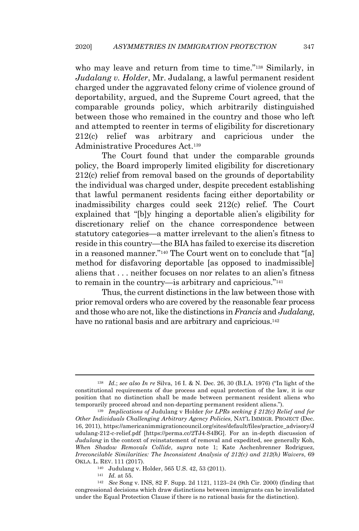who may leave and return from time to time."<sup>138</sup> Similarly, in *Judalang v. Holder*, Mr. Judalang, a lawful permanent resident charged under the aggravated felony crime of violence ground of deportability, argued, and the Supreme Court agreed, that the comparable grounds policy, which arbitrarily distinguished between those who remained in the country and those who left and attempted to reenter in terms of eligibility for discretionary 212(c) relief was arbitrary and capricious under the Administrative Procedures Act.<sup>139</sup>

The Court found that under the comparable grounds policy, the Board improperly limited eligibility for discretionary 212(c) relief from removal based on the grounds of deportability the individual was charged under, despite precedent establishing that lawful permanent residents facing either deportability or inadmissibility charges could seek 212(c) relief. The Court explained that "[b]y hinging a deportable alien's eligibility for discretionary relief on the chance correspondence between statutory categories—a matter irrelevant to the alien's fitness to reside in this country—the BIA has failed to exercise its discretion in a reasoned manner." <sup>140</sup> The Court went on to conclude that "[a] method for disfavoring deportable [as opposed to inadmissible] aliens that . . . neither focuses on nor relates to an alien's fitness to remain in the country—is arbitrary and capricious."<sup>141</sup>

Thus, the current distinctions in the law between those with prior removal orders who are covered by the reasonable fear process and those who are not, like the distinctions in*Francis* and *Judalang*, have no rational basis and are arbitrary and capricious.<sup>142</sup>

<sup>138</sup> *Id.*; *see also In re* Silva, 16 I. & N. Dec. 26, 30 (B.I.A. 1976) ("In light of the constitutional requirements of due process and equal protection of the law, it is our position that no distinction shall be made between permanent resident aliens who temporarily proceed abroad and non-departing permanent resident aliens.").

<sup>139</sup> *Implications of* Judulang v Holder *for LPRs seeking § 212(c) Relief and for Other Individuals Challenging Arbitrary Agency Policies*, NAT'L IMMIGR. PROJECT (Dec. 16, 2011), https://americanimmigrationcouncil.org/sites/default/files/practice\_advisory/J udulang-212-c-relief.pdf [https://perma.cc/2TJ4-S4BG]. For an in-depth discussion of *Judulang* in the context of reinstatement of removal and expedited, see generally Koh, *When Shadow Removals Collide*, *supra* note 1; Kate Aschenbrenner Rodriguez, *Irreconcilable Similarities: The Inconsistent Analysis of 212(c) and 212(h) Waivers*, 69 OKLA. L. REV. 111 (2017).

<sup>140</sup> Judulang v. Holder, 565 U.S. 42, 53 (2011).

<sup>141</sup> *Id.* at 55.

<sup>142</sup> *See* Song v. INS, 82 F. Supp. 2d 1121, 1123–24 (9th Cir. 2000) (finding that congressional decisions which draw distinctions between immigrants can be invalidated under the Equal Protection Clause if there is no rational basis for the distinction).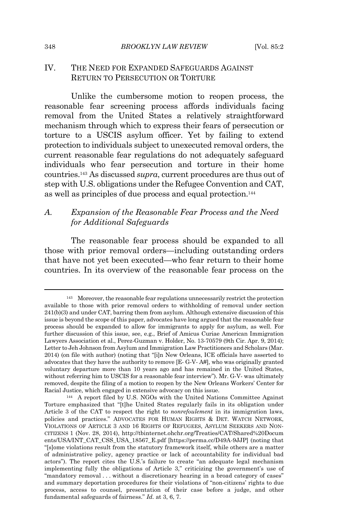## IV. THE NEED FOR EXPANDED SAFEGUARDS AGAINST RETURN TO PERSECUTION OR TORTURE

Unlike the cumbersome motion to reopen process, the reasonable fear screening process affords individuals facing removal from the United States a relatively straightforward mechanism through which to express their fears of persecution or torture to a USCIS asylum officer. Yet by failing to extend protection to individuals subject to unexecuted removal orders, the current reasonable fear regulations do not adequately safeguard individuals who fear persecution and torture in their home countries.<sup>143</sup> As discussed *supra*, current procedures are thus out of step with U.S. obligations under the Refugee Convention and CAT, as well as principles of due process and equal protection. 144

# *A. Expansion of the Reasonable Fear Process and the Need for Additional Safeguards*

The reasonable fear process should be expanded to all those with prior removal orders—including outstanding orders that have not yet been executed—who fear return to their home countries. In its overview of the reasonable fear process on the

<sup>&</sup>lt;sup>143</sup> Moreover, the reasonable fear regulations unnecessarily restrict the protection available to those with prior removal orders to withholding of removal under section 241(b)(3) and under CAT, barring them from asylum. Although extensive discussion of this issue is beyond the scope of this paper, advocates have long argued that the reasonable fear process should be expanded to allow for immigrants to apply for asylum, as well. For further discussion of this issue, see, e.g., Brief of Amicus Curiae American Immigration Lawyers Association et al., Perez-Guzman v. Holder, No. 13-70579 (9th Cir. Apr. 9, 2014); Letter to Jeh Johnson from Asylum and Immigration Law Practitioners and Scholars (Mar. 2014) (on file with author) (noting that "[i]n New Orleans, ICE officials have asserted to advocates that they have the authority to remove [E- G-V- A#], who was originally granted voluntary departure more than 10 years ago and has remained in the United States, without referring him to USCIS for a reasonable fear interview"). Mr. G-V- was ultimately removed, despite the filing of a motion to reopen by the New Orleans Workers' Center for Racial Justice, which engaged in extensive advocacy on this issue.

<sup>144</sup> A report filed by U.S. NGOs with the United Nations Committee Against Torture emphasized that "[t]he United States regularly fails in its obligation under Article 3 of the CAT to respect the right to *nonrefoulement* in its immigration laws, policies and practices." ADVOCATES FOR HUMAN RIGHTS & DET. WATCH NETWORK, VIOLATIONS OF ARTICLE 3 AND 16 RIGHTS OF REFUGEES, ASYLUM SEEKERS AND NON-CITIZENS 1 (Nov. 28, 2014), http://tbinternet.ohchr.org/Treaties/CAT/Shared%20Docum ents/USA/INT\_CAT\_CSS\_USA\_18567\_E.pdf [https://perma.cc/D49A-9JJP] (noting that "[s]ome violations result from the statutory framework itself, while others are a matter of administrative policy, agency practice or lack of accountability for individual bad actors"). The report cites the U.S.'s failure to create "an adequate legal mechanism implementing fully the obligations of Article 3," criticizing the government's use of "mandatory removal . . . without a discretionary hearing in a broad category of cases" and summary deportation procedures for their violations of "non-citizens' rights to due process, access to counsel, presentation of their case before a judge, and other fundamental safeguards of fairness." *Id.* at 3, 6, 7.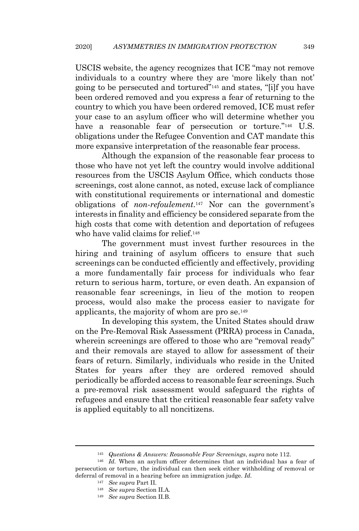USCIS website, the agency recognizes that ICE "may not remove individuals to a country where they are 'more likely than not' going to be persecuted and tortured" <sup>145</sup> and states, "[i]f you have been ordered removed and you express a fear of returning to the country to which you have been ordered removed, ICE must refer your case to an asylum officer who will determine whether you have a reasonable fear of persecution or torture."<sup>146</sup> U.S. obligations under the Refugee Convention and CAT mandate this more expansive interpretation of the reasonable fear process.

Although the expansion of the reasonable fear process to those who have not yet left the country would involve additional resources from the USCIS Asylum Office, which conducts those screenings, cost alone cannot, as noted, excuse lack of compliance with constitutional requirements or international and domestic obligations of *non-refoulement*. <sup>147</sup> Nor can the government's interests in finality and efficiency be considered separate from the high costs that come with detention and deportation of refugees who have valid claims for relief.<sup>148</sup>

The government must invest further resources in the hiring and training of asylum officers to ensure that such screenings can be conducted efficiently and effectively, providing a more fundamentally fair process for individuals who fear return to serious harm, torture, or even death. An expansion of reasonable fear screenings, in lieu of the motion to reopen process, would also make the process easier to navigate for applicants, the majority of whom are pro se.<sup>149</sup>

In developing this system, the United States should draw on the Pre-Removal Risk Assessment (PRRA) process in Canada, wherein screenings are offered to those who are "removal ready" and their removals are stayed to allow for assessment of their fears of return. Similarly, individuals who reside in the United States for years after they are ordered removed should periodically be afforded access to reasonable fear screenings. Such a pre-removal risk assessment would safeguard the rights of refugees and ensure that the critical reasonable fear safety valve is applied equitably to all noncitizens.

<sup>145</sup> *Questions & Answers: Reasonable Fear Screenings*, *supra* note 112.

<sup>&</sup>lt;sup>146</sup> *Id.* When an asylum officer determines that an individual has a fear of persecution or torture, the individual can then seek either withholding of removal or deferral of removal in a hearing before an immigration judge. *Id.*

<sup>147</sup> *See supra* Part II*.*

<sup>148</sup> *See supra* Section II.A*.*

<sup>149</sup> *See supra* Section II.B.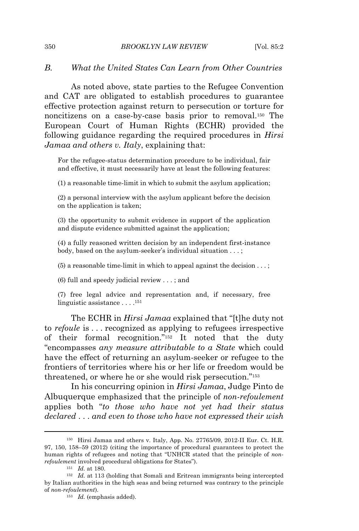## *B. What the United States Can Learn from Other Countries*

As noted above, state parties to the Refugee Convention and CAT are obligated to establish procedures to guarantee effective protection against return to persecution or torture for noncitizens on a case-by-case basis prior to removal.<sup>150</sup> The European Court of Human Rights (ECHR) provided the following guidance regarding the required procedures in *Hirsi Jamaa and others v. Italy*, explaining that:

For the refugee-status determination procedure to be individual, fair and effective, it must necessarily have at least the following features:

(1) a reasonable time-limit in which to submit the asylum application;

(2) a personal interview with the asylum applicant before the decision on the application is taken;

(3) the opportunity to submit evidence in support of the application and dispute evidence submitted against the application;

(4) a fully reasoned written decision by an independent first-instance body, based on the asylum-seeker's individual situation . . . ;

 $(5)$  a reasonable time-limit in which to appeal against the decision  $\dots$ ;

(6) full and speedy judicial review . . . ; and

(7) free legal advice and representation and, if necessary, free linguistic assistance . . . . 151

The ECHR in *Hirsi Jamaa* explained that "[t]he duty not to *refoule* is . . . recognized as applying to refugees irrespective of their formal recognition."<sup>152</sup> It noted that the duty "encompasses *any measure attributable to a State* which could have the effect of returning an asylum-seeker or refugee to the frontiers of territories where his or her life or freedom would be threatened, or where he or she would risk persecution." 153

In his concurring opinion in *Hirsi Jamaa*, Judge Pinto de Albuquerque emphasized that the principle of *non-refoulement* applies both "*to those who have not yet had their status declared* . . . *and even to those who have not expressed their wish*

<sup>150</sup> Hirsi Jamaa and others v. Italy, App. No. 27765/09, 2012-II Eur. Ct. H.R. 97, 150, 158–59 (2012) (citing the importance of procedural guarantees to protect the human rights of refugees and noting that "UNHCR stated that the principle of *nonrefoulement* involved procedural obligations for States").

<sup>151</sup> *Id.* at 180.

<sup>152</sup> *Id.* at 113 (holding that Somali and Eritrean immigrants being intercepted by Italian authorities in the high seas and being returned was contrary to the principle of *non-refoulement*).

<sup>153</sup> *Id.* (emphasis added).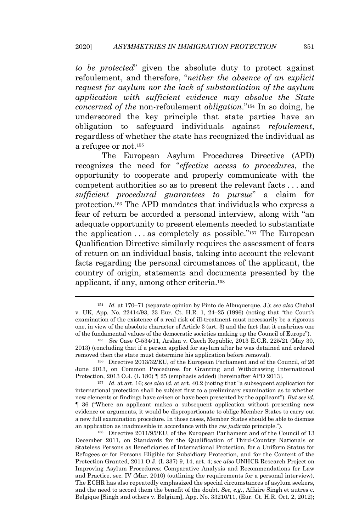*to be protected*" given the absolute duty to protect against refoulement, and therefore, "*neither the absence of an explicit request for asylum nor the lack of substantiation of the asylum application with sufficient evidence may absolve the State concerned of the* non-refoulement *obligation*."<sup>154</sup> In so doing, he underscored the key principle that state parties have an obligation to safeguard individuals against *refoulement*, regardless of whether the state has recognized the individual as a refugee or not.<sup>155</sup>

The European Asylum Procedures Directive (APD) recognizes the need for "*effective access to procedures*, the opportunity to cooperate and properly communicate with the competent authorities so as to present the relevant facts . . . and *sufficient procedural guarantees to pursue*" a claim for protection. <sup>156</sup> The APD mandates that individuals who express a fear of return be accorded a personal interview, along with "an adequate opportunity to present elements needed to substantiate the application  $\dots$  as completely as possible."<sup>157</sup> The European Qualification Directive similarly requires the assessment of fears of return on an individual basis, taking into account the relevant facts regarding the personal circumstances of the applicant, the country of origin, statements and documents presented by the applicant, if any, among other criteria.<sup>158</sup>

<sup>154</sup> *Id.* at 170–71 (separate opinion by Pinto de Albuquerque, J.); *see also* Chahal v. UK, App. No. 22414/93, 23 Eur. Ct. H.R. 1, 24–25 (1996) (noting that "the Court's examination of the existence of a real risk of ill-treatment must necessarily be a rigorous one, in view of the absolute character of Article 3 (art. 3) and the fact that it enshrines one of the fundamental values of the democratic societies making up the Council of Europe").

<sup>155</sup> *See* Case C-534/11, Arslan v. Czech Republic, 2013 E.C.R. 225/21 (May 30, 2013) (concluding that if a person applied for asylum after he was detained and ordered removed then the state must determine his application before removal).

<sup>156</sup> Directive 2013/32/EU, of the European Parliament and of the Council, of 26 June 2013, on Common Procedures for Granting and Withdrawing International Protection, 2013 O.J. (L 180) ¶ 25 (emphasis added) [hereinafter APD 2013].

<sup>157</sup> *Id.* at art. 16; *see also id.* at art. 40.2 (noting that "a subsequent application for international protection shall be subject first to a preliminary examination as to whether new elements or findings have arisen or have been presented by the applicant"). *But see id.* ¶ 36 ("Where an applicant makes a subsequent application without presenting new evidence or arguments, it would be disproportionate to oblige Member States to carry out a new full examination procedure. In those cases, Member States should be able to dismiss an application as inadmissible in accordance with the *res judicata* principle.").

<sup>158</sup> Directive 2011/95/EU, of the European Parliament and of the Council of 13 December 2011, on Standards for the Qualification of Third-Country Nationals or Stateless Persons as Beneficiaries of International Protection, for a Uniform Status for Refugees or for Persons Eligible for Subsidiary Protection, and for the Content of the Protection Granted, 2011 O.J. (L 337) 9, 14, art. 4; *see also* UNHCR Research Project on Improving Asylum Procedures: Comparative Analysis and Recommendations for Law and Practice, sec. IV (Mar. 2010) (outlining the requirements for a personal interview). The ECHR has also repeatedly emphasized the special circumstances of asylum seekers, and the need to accord them the benefit of the doubt. *See, e.g.*, Affaire Singh et autres c. Belgique [Singh and others v. Belgium], App. No. 33210/11, (Eur. Ct. H.R. Oct. 2, 2012);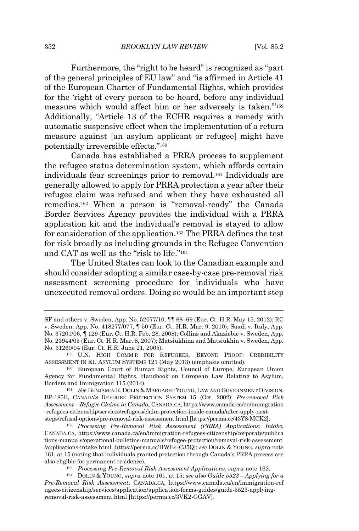Furthermore, the "right to be heard" is recognized as "part of the general principles of EU law" and "is affirmed in Article 41 of the European Charter of Fundamental Rights, which provides for the 'right of every person to be heard, before any individual measure which would affect him or her adversely is taken.'"<sup>159</sup> Additionally, "Article 13 of the ECHR requires a remedy with automatic suspensive effect when the implementation of a return measure against [an asylum applicant or refugee] might have potentially irreversible effects."<sup>160</sup>

Canada has established a PRRA process to supplement the refugee status determination system, which affords certain individuals fear screenings prior to removal.<sup>161</sup> Individuals are generally allowed to apply for PRRA protection a year after their refugee claim was refused and when they have exhausted all remedies.<sup>162</sup> When a person is "removal-ready" the Canada Border Services Agency provides the individual with a PRRA application kit and the individual's removal is stayed to allow for consideration of the application.<sup>163</sup> The PRRA defines the test for risk broadly as including grounds in the Refugee Convention and CAT as well as the "risk to life." 164

The United States can look to the Canadian example and should consider adopting a similar case-by-case pre-removal risk assessment screening procedure for individuals who have unexecuted removal orders. Doing so would be an important step

SF and others v. Sweden, App. No. 52077/10, ¶¶ 68–69 (Eur. Ct. H.R. May 15, 2012); RC v. Sweden, App. No. 418277/077, ¶ 50 (Eur. Ct. H.R. Mar. 9, 2010); Saadi v. Italy, App. No. 37201/06, ¶ 129 (Eur. Ct. H.R. Feb. 28, 2008); Collins and Akaziebie v. Sweden, App. No. 23944/05 (Eur. Ct. H.R. Mar. 8, 2007); Matsiukhina and Matsiukhin v. Sweden, App. No. 31260/04 (Eur. Ct. H.R. June 21, 2005).

<sup>159</sup> U.N. HIGH COMM'R FOR REFUGEES, BEYOND PROOF: CREDIBILITY ASSESSMENT IN EU ASYLUM SYSTEMS 121 (May 2013) (emphasis omitted).

<sup>160</sup> European Court of Human Rights, Council of Europe, European Union Agency for Fundamental Rights, Handbook on European Law Relating to Asylum, Borders and Immigration 115 (2014).

<sup>&</sup>lt;sup>161</sup> See BENJAMIN R. DOLIN & MARGARET YOUNG, LAW AND GOVERNMENT DIVISION, BP-185E, CANADA'S REFUGEE PROTECTION SYSTEM 15 (Oct. 2002); *Pre-removal Risk Assessment—Refugee Claims in Canada*, CANADA.CA, https://www.canada.ca/en/immigration -refugees-citizenship/services/refugees/claim-protection-inside-canada/after-apply-nextsteps/refusal-options/pre-removal-risk-assessment.html [https://perma.cc/43Y8-MCK2].

<sup>162</sup> *Processing Pre-Removal Risk Assessment (PRRA) Applications: Intake*, CANADA.CA, https://www.canada.ca/en/immigration-refugees-citizenship/corporate/publica tions-manuals/operational-bulletins-manuals/refugee-protection/removal-risk-assessment /applications-intake.html [https://perma.cc/HWE4-CJ5Q]; *see* DOLIN & YOUNG, *supra* note 161, at 15 (noting that individuals granted protection through Canada's PRRA process are also eligible for permanent residence).

<sup>163</sup> *Processing Pre-Removal Risk Assessment Applications*, *supra* note 162.

<sup>164</sup> DOLIN & YOUNG, *supra* note 161, at 15; *see also Guide 5523 – Applying for a Pre-Removal Risk Assessment*, CANADA.CA, https://www.canada.ca/en/immigration-ref ugees-citizenship/services/application/application-forms-guides/guide-5523-applyingremoval-risk-assessment.html [https://perma.cc/3VK2-GGAV].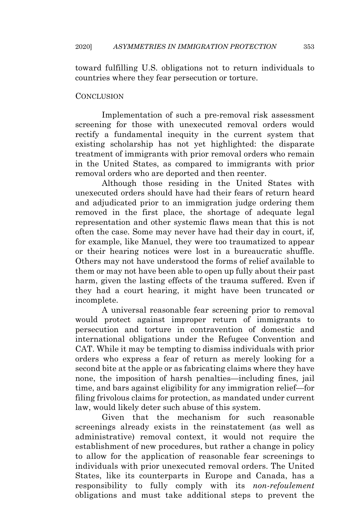toward fulfilling U.S. obligations not to return individuals to countries where they fear persecution or torture.

### **CONCLUSION**

Implementation of such a pre-removal risk assessment screening for those with unexecuted removal orders would rectify a fundamental inequity in the current system that existing scholarship has not yet highlighted: the disparate treatment of immigrants with prior removal orders who remain in the United States, as compared to immigrants with prior removal orders who are deported and then reenter.

Although those residing in the United States with unexecuted orders should have had their fears of return heard and adjudicated prior to an immigration judge ordering them removed in the first place, the shortage of adequate legal representation and other systemic flaws mean that this is not often the case. Some may never have had their day in court, if, for example, like Manuel, they were too traumatized to appear or their hearing notices were lost in a bureaucratic shuffle. Others may not have understood the forms of relief available to them or may not have been able to open up fully about their past harm, given the lasting effects of the trauma suffered. Even if they had a court hearing, it might have been truncated or incomplete.

A universal reasonable fear screening prior to removal would protect against improper return of immigrants to persecution and torture in contravention of domestic and international obligations under the Refugee Convention and CAT. While it may be tempting to dismiss individuals with prior orders who express a fear of return as merely looking for a second bite at the apple or as fabricating claims where they have none, the imposition of harsh penalties—including fines, jail time, and bars against eligibility for any immigration relief—for filing frivolous claims for protection, as mandated under current law, would likely deter such abuse of this system.

Given that the mechanism for such reasonable screenings already exists in the reinstatement (as well as administrative) removal context, it would not require the establishment of new procedures, but rather a change in policy to allow for the application of reasonable fear screenings to individuals with prior unexecuted removal orders. The United States, like its counterparts in Europe and Canada, has a responsibility to fully comply with its *non-refoulement* obligations and must take additional steps to prevent the